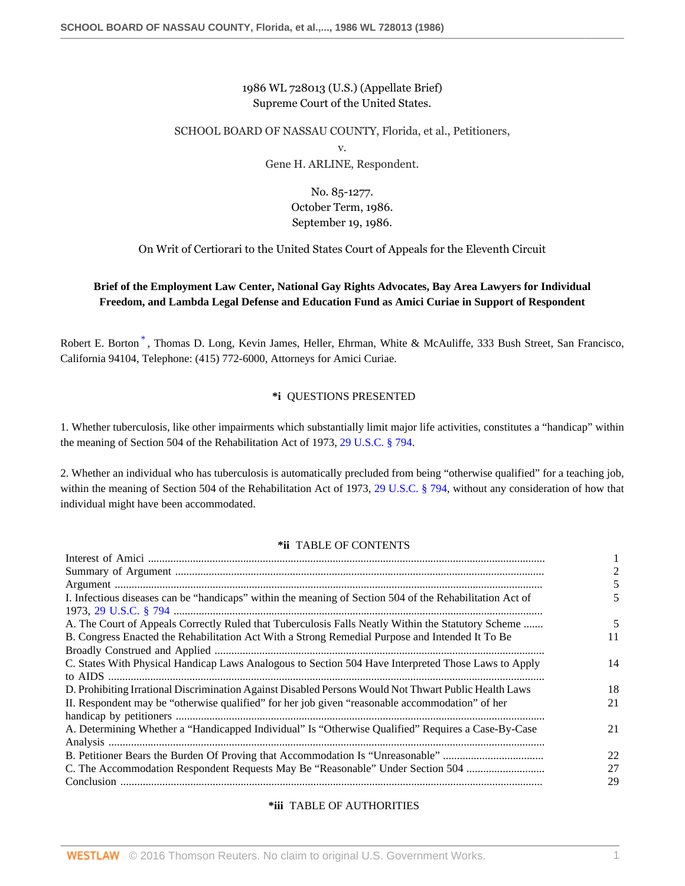## 1986 WL 728013 (U.S.) (Appellate Brief) Supreme Court of the United States.

### SCHOOL BOARD OF NASSAU COUNTY, Florida, et al., Petitioners,

v.

Gene H. ARLINE, Respondent.

No. 85-1277. October Term, 1986. September 19, 1986.

On Writ of Certiorari to the United States Court of Appeals for the Eleventh Circuit

## <span id="page-0-0"></span>**Brief of the Employment Law Center, National Gay Rights Advocates, Bay Area Lawyers for Individual Freedom, and Lambda Legal Defense and Education Fund as Amici Curiae in Support of Respondent**

Robert E. Borton<sup>[\\*](#page-13-0)</sup>, Thomas D. Long, Kevin James, Heller, Ehrman, White & McAuliffe, 333 Bush Street, San Francisco, California 94104, Telephone: (415) 772-6000, Attorneys for Amici Curiae.

## **\*i** QUESTIONS PRESENTED

1. Whether tuberculosis, like other impairments which substantially limit major life activities, constitutes a "handicap" within the meaning of Section 504 of the Rehabilitation Act of 1973, [29 U.S.C. § 794](http://www.westlaw.com/Link/Document/FullText?findType=L&pubNum=1000546&cite=29USCAS794&originatingDoc=Icbf326bc6bf111d8a0069cc1490382dc&refType=LQ&originationContext=document&vr=3.0&rs=cblt1.0&transitionType=DocumentItem&contextData=(sc.Search)).

2. Whether an individual who has tuberculosis is automatically precluded from being "otherwise qualified" for a teaching job, within the meaning of Section 504 of the Rehabilitation Act of 1973, [29 U.S.C. § 794,](http://www.westlaw.com/Link/Document/FullText?findType=L&pubNum=1000546&cite=29USCAS794&originatingDoc=Icbf326bc6bf111d8a0069cc1490382dc&refType=LQ&originationContext=document&vr=3.0&rs=cblt1.0&transitionType=DocumentItem&contextData=(sc.Search)) without any consideration of how that individual might have been accommodated.

### **\*ii** TABLE OF CONTENTS

| I. Infectious diseases can be "handicaps" within the meaning of Section 504 of the Rehabilitation Act of |    |
|----------------------------------------------------------------------------------------------------------|----|
|                                                                                                          |    |
| A. The Court of Appeals Correctly Ruled that Tuberculosis Falls Neatly Within the Statutory Scheme       |    |
| B. Congress Enacted the Rehabilitation Act With a Strong Remedial Purpose and Intended It To Be          | 11 |
|                                                                                                          |    |
| C. States With Physical Handicap Laws Analogous to Section 504 Have Interpreted Those Laws to Apply      | 14 |
|                                                                                                          |    |
| D. Prohibiting Irrational Discrimination Against Disabled Persons Would Not Thwart Public Health Laws    | 18 |
| II. Respondent may be "otherwise qualified" for her job given "reasonable accommodation" of her          | 21 |
|                                                                                                          |    |
| A. Determining Whether a "Handicapped Individual" Is "Otherwise Qualified" Requires a Case-By-Case       | 21 |
|                                                                                                          |    |
|                                                                                                          | 22 |
| C. The Accommodation Respondent Requests May Be "Reasonable" Under Section 504                           | 27 |
|                                                                                                          | 29 |

## **\*iii** TABLE OF AUTHORITIES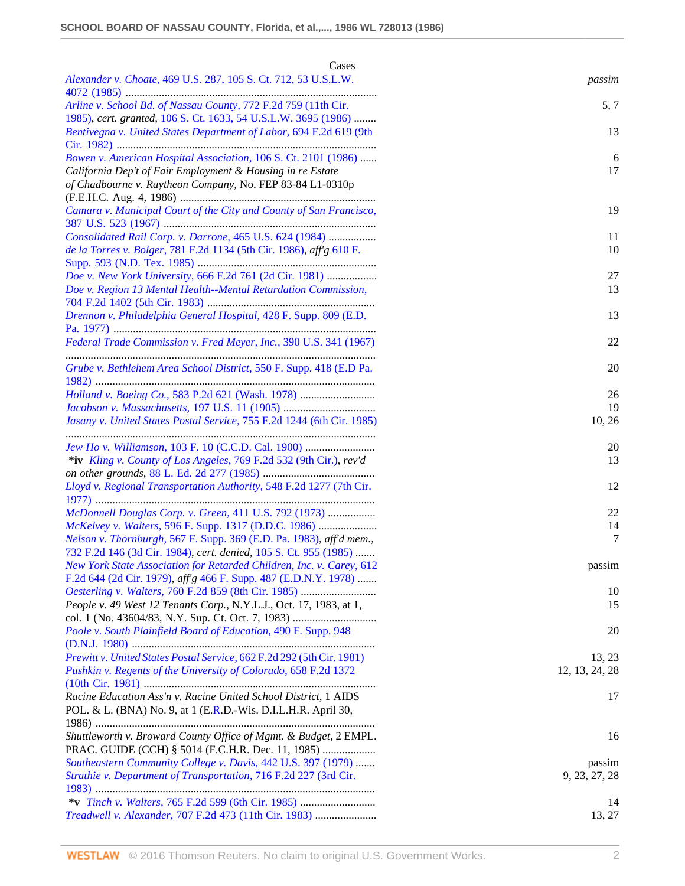| Cases                                                                                                                                   |                |
|-----------------------------------------------------------------------------------------------------------------------------------------|----------------|
| Alexander v. Choate, 469 U.S. 287, 105 S. Ct. 712, 53 U.S.L.W.                                                                          | passim         |
| Arline v. School Bd. of Nassau County, 772 F.2d 759 (11th Cir.<br>1985), cert. granted, 106 S. Ct. 1633, 54 U.S.L.W. 3695 (1986)        | 5, 7           |
| Bentivegna v. United States Department of Labor, 694 F.2d 619 (9th                                                                      | 13             |
| Bowen v. American Hospital Association, 106 S. Ct. 2101 (1986)                                                                          | 6              |
| California Dep't of Fair Employment & Housing in re Estate<br>of Chadbourne v. Raytheon Company, No. FEP 83-84 L1-0310p                 | 17             |
| Camara v. Municipal Court of the City and County of San Francisco,                                                                      | 19             |
| Consolidated Rail Corp. v. Darrone, 465 U.S. 624 (1984)                                                                                 | 11             |
| de la Torres v. Bolger, 781 F.2d 1134 (5th Cir. 1986), aff g 610 F.                                                                     | 10             |
| Doe v. New York University, 666 F.2d 761 (2d Cir. 1981)                                                                                 | 27             |
| Doe v. Region 13 Mental Health--Mental Retardation Commission,                                                                          | 13             |
| Drennon v. Philadelphia General Hospital, 428 F. Supp. 809 (E.D.                                                                        | 13             |
| Federal Trade Commission v. Fred Meyer, Inc., 390 U.S. 341 (1967)                                                                       | 22             |
| Grube v. Bethlehem Area School District, 550 F. Supp. 418 (E.D Pa.                                                                      | 20             |
| Holland v. Boeing Co., 583 P.2d 621 (Wash. 1978)                                                                                        | 26             |
|                                                                                                                                         | 19             |
| Jasany v. United States Postal Service, 755 F.2d 1244 (6th Cir. 1985)                                                                   | 10, 26         |
| Jew Ho v. Williamson, 103 F. 10 (C.C.D. Cal. 1900)                                                                                      | 20             |
| *iv Kling v. County of Los Angeles, 769 F.2d 532 (9th Cir.), rev'd                                                                      | 13             |
| Lloyd v. Regional Transportation Authority, 548 F.2d 1277 (7th Cir.                                                                     | 12             |
| McDonnell Douglas Corp. v. Green, 411 U.S. 792 (1973)                                                                                   | 22             |
| McKelvey v. Walters, 596 F. Supp. 1317 (D.D.C. 1986)                                                                                    | 14             |
| Nelson v. Thornburgh, 567 F. Supp. 369 (E.D. Pa. 1983), aff'd mem.,<br>732 F.2d 146 (3d Cir. 1984), cert. denied, 105 S. Ct. 955 (1985) | 7              |
| New York State Association for Retarded Children, Inc. v. Carey, 612<br>F.2d 644 (2d Cir. 1979), aff'g 466 F. Supp. 487 (E.D.N.Y. 1978) | passim         |
| Oesterling v. Walters, 760 F.2d 859 (8th Cir. 1985)                                                                                     | 10             |
| People v. 49 West 12 Tenants Corp., N.Y.L.J., Oct. 17, 1983, at 1,                                                                      | 15             |
| Poole v. South Plainfield Board of Education, 490 F. Supp. 948                                                                          | 20             |
| Prewitt v. United States Postal Service, 662 F.2d 292 (5th Cir. 1981)                                                                   | 13, 23         |
| Pushkin v. Regents of the University of Colorado, 658 F.2d 1372                                                                         | 12, 13, 24, 28 |
| Racine Education Ass'n v. Racine United School District, 1 AIDS                                                                         | 17             |
| POL. & L. (BNA) No. 9, at 1 (E.R.D.-Wis. D.I.L.H.R. April 30,                                                                           |                |
| Shuttleworth v. Broward County Office of Mgmt. & Budget, 2 EMPL.<br>PRAC. GUIDE (CCH) § 5014 (F.C.H.R. Dec. 11, 1985)                   | 16             |
| Southeastern Community College v. Davis, 442 U.S. 397 (1979)                                                                            | passim         |
| Strathie v. Department of Transportation, 716 F.2d 227 (3rd Cir.                                                                        | 9, 23, 27, 28  |
| *v Tinch v. Walters, 765 F.2d 599 (6th Cir. 1985)                                                                                       | 14             |
| Treadwell v. Alexander, 707 F.2d 473 (11th Cir. 1983)                                                                                   | 13, 27         |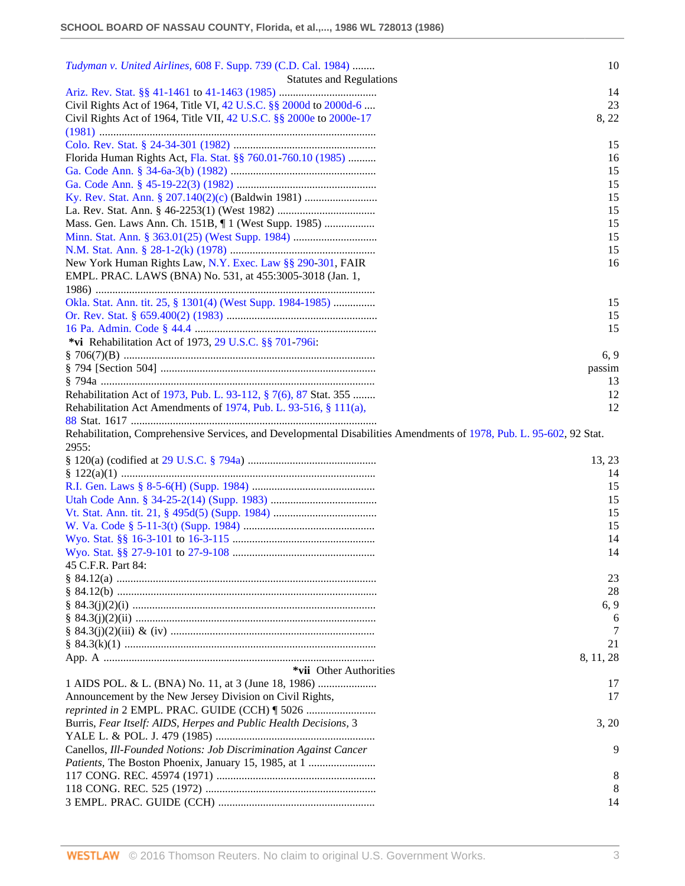| Tudyman v. United Airlines, 608 F. Supp. 739 (C.D. Cal. 1984)                                                       | 10        |
|---------------------------------------------------------------------------------------------------------------------|-----------|
| <b>Statutes and Regulations</b>                                                                                     |           |
|                                                                                                                     | 14        |
| Civil Rights Act of 1964, Title VI, 42 U.S.C. §§ 2000d to 2000d-6                                                   | 23        |
| Civil Rights Act of 1964, Title VII, 42 U.S.C. §§ 2000e to 2000e-17                                                 | 8, 22     |
|                                                                                                                     |           |
|                                                                                                                     | 15        |
| Florida Human Rights Act, Fla. Stat. §§ 760.01-760.10 (1985)                                                        | 16        |
|                                                                                                                     | 15        |
|                                                                                                                     | 15        |
| Ky. Rev. Stat. Ann. § 207.140(2)(c) (Baldwin 1981)                                                                  | 15        |
|                                                                                                                     | 15        |
|                                                                                                                     | 15        |
|                                                                                                                     | 15        |
|                                                                                                                     | 15        |
| New York Human Rights Law, N.Y. Exec. Law §§ 290-301, FAIR                                                          | 16        |
| EMPL. PRAC. LAWS (BNA) No. 531, at 455:3005-3018 (Jan. 1,                                                           |           |
|                                                                                                                     |           |
| Okla. Stat. Ann. tit. 25, § 1301(4) (West Supp. 1984-1985)                                                          | 15        |
|                                                                                                                     | 15        |
|                                                                                                                     | 15        |
| *vi Rehabilitation Act of 1973, 29 U.S.C. §§ 701-796i:                                                              |           |
|                                                                                                                     | 6, 9      |
|                                                                                                                     | passim    |
|                                                                                                                     | 13        |
| Rehabilitation Act of 1973, Pub. L. 93-112, § 7(6), 87 Stat. 355                                                    | 12        |
| Rehabilitation Act Amendments of 1974, Pub. L. 93-516, § 111(a),                                                    | 12        |
|                                                                                                                     |           |
| Rehabilitation, Comprehensive Services, and Developmental Disabilities Amendments of 1978, Pub. L. 95-602, 92 Stat. |           |
|                                                                                                                     |           |
| 2955:                                                                                                               |           |
|                                                                                                                     | 13, 23    |
|                                                                                                                     | 14        |
|                                                                                                                     | 15        |
|                                                                                                                     | 15        |
|                                                                                                                     | 15        |
|                                                                                                                     | 15        |
|                                                                                                                     | 14        |
|                                                                                                                     | 14        |
| 45 C.F.R. Part 84:                                                                                                  |           |
|                                                                                                                     | 23        |
|                                                                                                                     | 28        |
|                                                                                                                     | 6, 9      |
|                                                                                                                     | 6         |
|                                                                                                                     |           |
|                                                                                                                     | 21        |
|                                                                                                                     | 8, 11, 28 |
| *vii Other Authorities                                                                                              |           |
|                                                                                                                     | 17        |
| Announcement by the New Jersey Division on Civil Rights,                                                            | 17        |
| reprinted in 2 EMPL. PRAC. GUIDE (CCH) [ 5026                                                                       |           |
| Burris, Fear Itself: AIDS, Herpes and Public Health Decisions, 3                                                    | 3, 20     |
|                                                                                                                     |           |
| Canellos, Ill-Founded Notions: Job Discrimination Against Cancer                                                    | 9         |
|                                                                                                                     |           |
|                                                                                                                     | 8         |
|                                                                                                                     | 8<br>14   |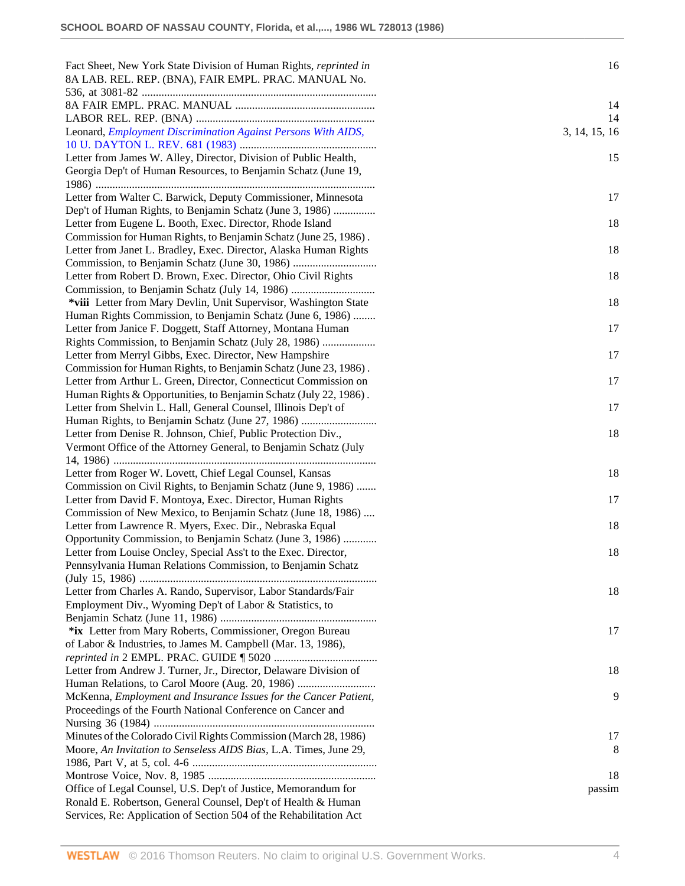| Fact Sheet, New York State Division of Human Rights, reprinted in<br>8A LAB. REL. REP. (BNA), FAIR EMPL. PRAC. MANUAL No.          | 16            |
|------------------------------------------------------------------------------------------------------------------------------------|---------------|
|                                                                                                                                    | 14            |
|                                                                                                                                    | 14            |
| Leonard, Employment Discrimination Against Persons With AIDS,                                                                      | 3, 14, 15, 16 |
| Letter from James W. Alley, Director, Division of Public Health,<br>Georgia Dep't of Human Resources, to Benjamin Schatz (June 19, | 15            |
| Letter from Walter C. Barwick, Deputy Commissioner, Minnesota                                                                      | 17            |
| Dep't of Human Rights, to Benjamin Schatz (June 3, 1986)                                                                           |               |
| Letter from Eugene L. Booth, Exec. Director, Rhode Island                                                                          | 18            |
| Commission for Human Rights, to Benjamin Schatz (June 25, 1986).                                                                   |               |
| Letter from Janet L. Bradley, Exec. Director, Alaska Human Rights                                                                  | 18            |
|                                                                                                                                    |               |
| Letter from Robert D. Brown, Exec. Director, Ohio Civil Rights                                                                     | 18            |
| *viii Letter from Mary Devlin, Unit Supervisor, Washington State                                                                   | 18            |
| Human Rights Commission, to Benjamin Schatz (June 6, 1986)                                                                         |               |
| Letter from Janice F. Doggett, Staff Attorney, Montana Human                                                                       | 17            |
| Rights Commission, to Benjamin Schatz (July 28, 1986)                                                                              |               |
| Letter from Merryl Gibbs, Exec. Director, New Hampshire                                                                            | 17            |
| Commission for Human Rights, to Benjamin Schatz (June 23, 1986).                                                                   |               |
| Letter from Arthur L. Green, Director, Connecticut Commission on                                                                   | 17            |
| Human Rights & Opportunities, to Benjamin Schatz (July 22, 1986).                                                                  |               |
| Letter from Shelvin L. Hall, General Counsel, Illinois Dep't of<br>Human Rights, to Benjamin Schatz (June 27, 1986)                | 17            |
| Letter from Denise R. Johnson, Chief, Public Protection Div.,                                                                      | 18            |
| Vermont Office of the Attorney General, to Benjamin Schatz (July                                                                   |               |
|                                                                                                                                    |               |
| Letter from Roger W. Lovett, Chief Legal Counsel, Kansas                                                                           | 18            |
| Commission on Civil Rights, to Benjamin Schatz (June 9, 1986)                                                                      |               |
| Letter from David F. Montoya, Exec. Director, Human Rights                                                                         | 17            |
| Commission of New Mexico, to Benjamin Schatz (June 18, 1986)                                                                       |               |
| Letter from Lawrence R. Myers, Exec. Dir., Nebraska Equal                                                                          | 18            |
| Opportunity Commission, to Benjamin Schatz (June 3, 1986)                                                                          |               |
| Letter from Louise Oncley, Special Ass't to the Exec. Director,                                                                    | 18            |
| Pennsylvania Human Relations Commission, to Benjamin Schatz                                                                        |               |
|                                                                                                                                    |               |
| Letter from Charles A. Rando, Supervisor, Labor Standards/Fair                                                                     | 18            |
| Employment Div., Wyoming Dep't of Labor & Statistics, to                                                                           |               |
|                                                                                                                                    |               |
| *ix Letter from Mary Roberts, Commissioner, Oregon Bureau                                                                          | 17            |
| of Labor & Industries, to James M. Campbell (Mar. 13, 1986),                                                                       |               |
| Letter from Andrew J. Turner, Jr., Director, Delaware Division of                                                                  | 18            |
|                                                                                                                                    |               |
| McKenna, Employment and Insurance Issues for the Cancer Patient,                                                                   | 9             |
| Proceedings of the Fourth National Conference on Cancer and                                                                        |               |
|                                                                                                                                    |               |
| Minutes of the Colorado Civil Rights Commission (March 28, 1986)                                                                   | 17            |
| Moore, An Invitation to Senseless AIDS Bias, L.A. Times, June 29,                                                                  | 8             |
|                                                                                                                                    | 18            |
| Office of Legal Counsel, U.S. Dep't of Justice, Memorandum for                                                                     | passim        |
| Ronald E. Robertson, General Counsel, Dep't of Health & Human                                                                      |               |
| Services, Re: Application of Section 504 of the Rehabilitation Act                                                                 |               |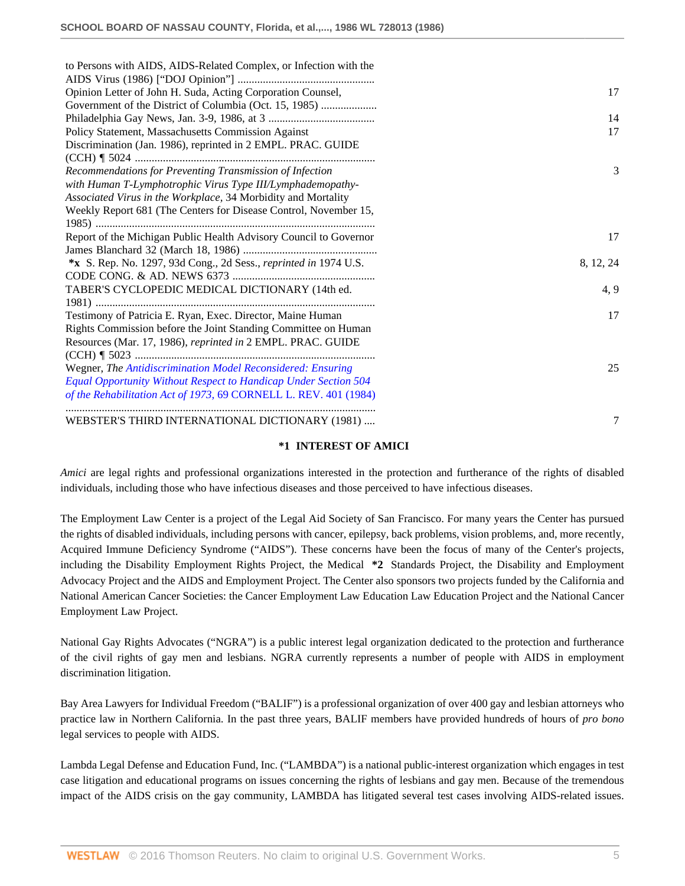| to Persons with AIDS, AIDS-Related Complex, or Infection with the |           |
|-------------------------------------------------------------------|-----------|
| Opinion Letter of John H. Suda, Acting Corporation Counsel,       | 17        |
| Government of the District of Columbia (Oct. 15, 1985)            |           |
|                                                                   | 14        |
|                                                                   | 17        |
| Policy Statement, Massachusetts Commission Against                |           |
| Discrimination (Jan. 1986), reprinted in 2 EMPL. PRAC. GUIDE      |           |
|                                                                   |           |
| Recommendations for Preventing Transmission of Infection          | 3         |
| with Human T-Lymphotrophic Virus Type III/Lymphademopathy-        |           |
| Associated Virus in the Workplace, 34 Morbidity and Mortality     |           |
| Weekly Report 681 (The Centers for Disease Control, November 15,  |           |
|                                                                   |           |
| Report of the Michigan Public Health Advisory Council to Governor | 17        |
|                                                                   |           |
| *x S. Rep. No. 1297, 93d Cong., 2d Sess., reprinted in 1974 U.S.  | 8, 12, 24 |
|                                                                   |           |
| TABER'S CYCLOPEDIC MEDICAL DICTIONARY (14th ed.                   | 4, 9      |
|                                                                   |           |
| Testimony of Patricia E. Ryan, Exec. Director, Maine Human        | 17        |
| Rights Commission before the Joint Standing Committee on Human    |           |
| Resources (Mar. 17, 1986), reprinted in 2 EMPL. PRAC. GUIDE       |           |
|                                                                   |           |
| Wegner, The Antidiscrimination Model Reconsidered: Ensuring       | 25        |
| Equal Opportunity Without Respect to Handicap Under Section 504   |           |
| of the Rehabilitation Act of 1973, 69 CORNELL L. REV. 401 (1984)  |           |
| WEBSTER'S THIRD INTERNATIONAL DICTIONARY (1981)                   | 7         |
|                                                                   |           |

### **\*1 INTEREST OF AMICI**

*Amici* are legal rights and professional organizations interested in the protection and furtherance of the rights of disabled individuals, including those who have infectious diseases and those perceived to have infectious diseases.

The Employment Law Center is a project of the Legal Aid Society of San Francisco. For many years the Center has pursued the rights of disabled individuals, including persons with cancer, epilepsy, back problems, vision problems, and, more recently, Acquired Immune Deficiency Syndrome ("AIDS"). These concerns have been the focus of many of the Center's projects, including the Disability Employment Rights Project, the Medical **\*2** Standards Project, the Disability and Employment Advocacy Project and the AIDS and Employment Project. The Center also sponsors two projects funded by the California and National American Cancer Societies: the Cancer Employment Law Education Law Education Project and the National Cancer Employment Law Project.

National Gay Rights Advocates ("NGRA") is a public interest legal organization dedicated to the protection and furtherance of the civil rights of gay men and lesbians. NGRA currently represents a number of people with AIDS in employment discrimination litigation.

Bay Area Lawyers for Individual Freedom ("BALIF") is a professional organization of over 400 gay and lesbian attorneys who practice law in Northern California. In the past three years, BALIF members have provided hundreds of hours of *pro bono* legal services to people with AIDS.

Lambda Legal Defense and Education Fund, Inc. ("LAMBDA") is a national public-interest organization which engages in test case litigation and educational programs on issues concerning the rights of lesbians and gay men. Because of the tremendous impact of the AIDS crisis on the gay community, LAMBDA has litigated several test cases involving AIDS-related issues.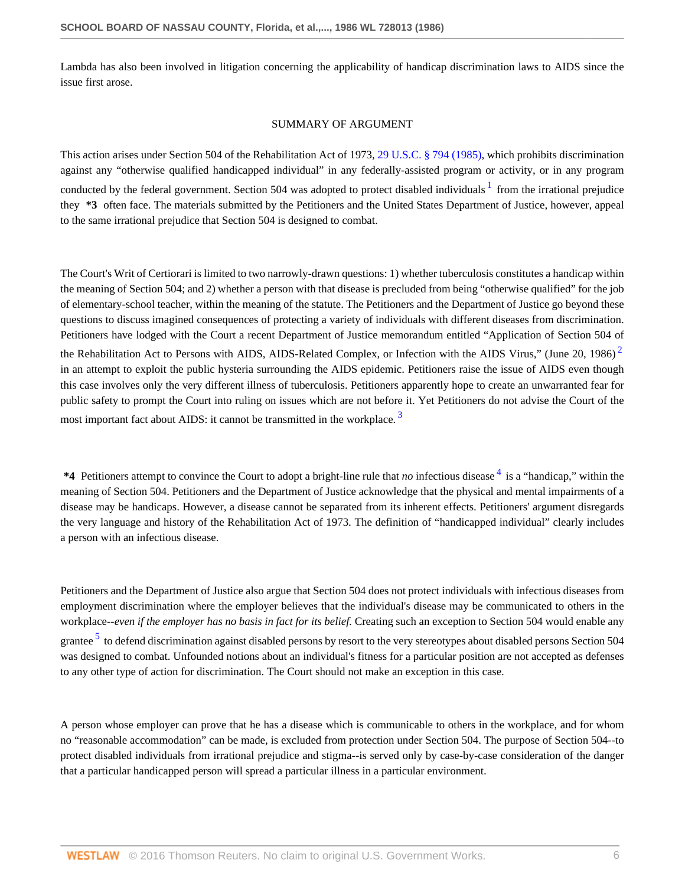Lambda has also been involved in litigation concerning the applicability of handicap discrimination laws to AIDS since the issue first arose.

### <span id="page-5-3"></span><span id="page-5-2"></span><span id="page-5-1"></span><span id="page-5-0"></span>SUMMARY OF ARGUMENT

This action arises under Section 504 of the Rehabilitation Act of 1973, [29 U.S.C. § 794 \(1985\),](http://www.westlaw.com/Link/Document/FullText?findType=L&pubNum=1000546&cite=29USCAS794&originatingDoc=Icbf326bc6bf111d8a0069cc1490382dc&refType=LQ&originationContext=document&vr=3.0&rs=cblt1.0&transitionType=DocumentItem&contextData=(sc.Search)) which prohibits discrimination against any "otherwise qualified handicapped individual" in any federally-assisted program or activity, or in any program conducted by the federal government. Section 504 was adopted to protect disabled individuals  $1$  from the irrational prejudice they **\*3** often face. The materials submitted by the Petitioners and the United States Department of Justice, however, appeal to the same irrational prejudice that Section 504 is designed to combat.

The Court's Writ of Certiorari is limited to two narrowly-drawn questions: 1) whether tuberculosis constitutes a handicap within the meaning of Section 504; and 2) whether a person with that disease is precluded from being "otherwise qualified" for the job of elementary-school teacher, within the meaning of the statute. The Petitioners and the Department of Justice go beyond these questions to discuss imagined consequences of protecting a variety of individuals with different diseases from discrimination. Petitioners have lodged with the Court a recent Department of Justice memorandum entitled "Application of Section 504 of the Rehabilitation Act to Persons with AIDS, AIDS-Related Complex, or Infection with the AIDS Virus," (June [2](#page-14-0)0, 1986) $<sup>2</sup>$ </sup> in an attempt to exploit the public hysteria surrounding the AIDS epidemic. Petitioners raise the issue of AIDS even though this case involves only the very different illness of tuberculosis. Petitioners apparently hope to create an unwarranted fear for public safety to prompt the Court into ruling on issues which are not before it. Yet Petitioners do not advise the Court of the most important fact about AIDS: it cannot be transmitted in the workplace.<sup>[3](#page-14-1)</sup>

\*[4](#page-14-2) Petitioners attempt to convince the Court to adopt a bright-line rule that *no* infectious disease <sup>4</sup> is a "handicap," within the meaning of Section 504. Petitioners and the Department of Justice acknowledge that the physical and mental impairments of a disease may be handicaps. However, a disease cannot be separated from its inherent effects. Petitioners' argument disregards the very language and history of the Rehabilitation Act of 1973. The definition of "handicapped individual" clearly includes a person with an infectious disease.

<span id="page-5-4"></span>Petitioners and the Department of Justice also argue that Section 504 does not protect individuals with infectious diseases from employment discrimination where the employer believes that the individual's disease may be communicated to others in the workplace--*even if the employer has no basis in fact for its belief.* Creating such an exception to Section 504 would enable any grantee <sup>[5](#page-14-3)</sup> to defend discrimination against disabled persons by resort to the very stereotypes about disabled persons Section 504 was designed to combat. Unfounded notions about an individual's fitness for a particular position are not accepted as defenses to any other type of action for discrimination. The Court should not make an exception in this case.

A person whose employer can prove that he has a disease which is communicable to others in the workplace, and for whom no "reasonable accommodation" can be made, is excluded from protection under Section 504. The purpose of Section 504--to protect disabled individuals from irrational prejudice and stigma--is served only by case-by-case consideration of the danger that a particular handicapped person will spread a particular illness in a particular environment.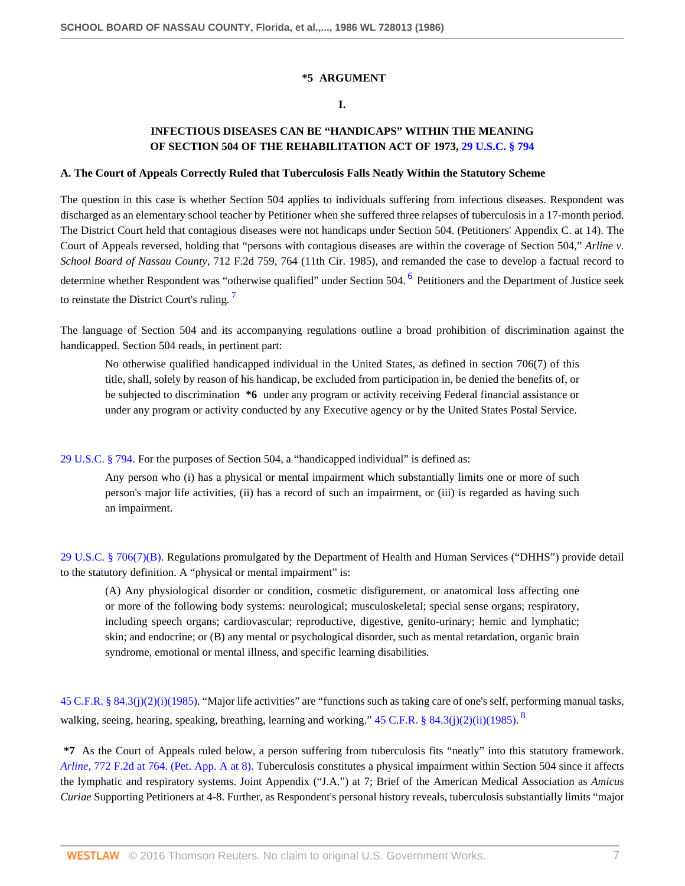### **\*5 ARGUMENT**

## <span id="page-6-0"></span>**I.**

# **INFECTIOUS DISEASES CAN BE "HANDICAPS" WITHIN THE MEANING OF SECTION 504 OF THE REHABILITATION ACT OF 1973, [29 U.S.C. § 794](http://www.westlaw.com/Link/Document/FullText?findType=L&pubNum=1000546&cite=29USCAS794&originatingDoc=Icbf326bc6bf111d8a0069cc1490382dc&refType=LQ&originationContext=document&vr=3.0&rs=cblt1.0&transitionType=DocumentItem&contextData=(sc.Search))**

### **A. The Court of Appeals Correctly Ruled that Tuberculosis Falls Neatly Within the Statutory Scheme**

The question in this case is whether Section 504 applies to individuals suffering from infectious diseases. Respondent was discharged as an elementary school teacher by Petitioner when she suffered three relapses of tuberculosis in a 17-month period. The District Court held that contagious diseases were not handicaps under Section 504. (Petitioners' Appendix C. at 14). The Court of Appeals reversed, holding that "persons with contagious diseases are within the coverage of Section 504," *Arline v. School Board of Nassau County,* 712 F.2d 759, 764 (11th Cir. 1985), and remanded the case to develop a factual record to determine whether Respondent was "otherwise qualified" under Section 504. <sup>[6](#page-14-4)</sup> Petitioners and the Department of Justice seek to reinstate the District Court's ruling.<sup>[7](#page-14-5)</sup>

The language of Section 504 and its accompanying regulations outline a broad prohibition of discrimination against the handicapped. Section 504 reads, in pertinent part:

<span id="page-6-1"></span>No otherwise qualified handicapped individual in the United States, as defined in section 706(7) of this title, shall, solely by reason of his handicap, be excluded from participation in, be denied the benefits of, or be subjected to discrimination **\*6** under any program or activity receiving Federal financial assistance or under any program or activity conducted by any Executive agency or by the United States Postal Service.

[29 U.S.C. § 794](http://www.westlaw.com/Link/Document/FullText?findType=L&pubNum=1000546&cite=29USCAS794&originatingDoc=Icbf326bc6bf111d8a0069cc1490382dc&refType=LQ&originationContext=document&vr=3.0&rs=cblt1.0&transitionType=DocumentItem&contextData=(sc.Search)). For the purposes of Section 504, a "handicapped individual" is defined as:

Any person who (i) has a physical or mental impairment which substantially limits one or more of such person's major life activities, (ii) has a record of such an impairment, or (iii) is regarded as having such an impairment.

[29 U.S.C. § 706\(7\)\(B\)](http://www.westlaw.com/Link/Document/FullText?findType=L&pubNum=1000546&cite=29USCAS706&originatingDoc=Icbf326bc6bf111d8a0069cc1490382dc&refType=LQ&originationContext=document&vr=3.0&rs=cblt1.0&transitionType=DocumentItem&contextData=(sc.Search)). Regulations promulgated by the Department of Health and Human Services ("DHHS") provide detail to the statutory definition. A "physical or mental impairment" is:

<span id="page-6-2"></span>(A) Any physiological disorder or condition, cosmetic disfigurement, or anatomical loss affecting one or more of the following body systems: neurological; musculoskeletal; special sense organs; respiratory, including speech organs; cardiovascular; reproductive, digestive, genito-urinary; hemic and lymphatic; skin; and endocrine; or (B) any mental or psychological disorder, such as mental retardation, organic brain syndrome, emotional or mental illness, and specific learning disabilities.

[45 C.F.R. § 84.3\(j\)\(2\)\(i\)\(1985\)](http://www.westlaw.com/Link/Document/FullText?findType=L&pubNum=1000547&cite=45CFRS84.3&originatingDoc=Icbf326bc6bf111d8a0069cc1490382dc&refType=LQ&originationContext=document&vr=3.0&rs=cblt1.0&transitionType=DocumentItem&contextData=(sc.Search)). "Major life activities" are "functions such as taking care of one's self, performing manual tasks, walking, seeing, hearing, speaking, breathing, learning and working."  $45$  C.F.R. § [8](#page-14-6)4.3(j)(2)(ii)(1985).  $8$ 

**\*7** As the Court of Appeals ruled below, a person suffering from tuberculosis fits "neatly" into this statutory framework. *Arline,* [772 F.2d at 764. \(Pet. App. A at 8\)](http://www.westlaw.com/Link/Document/FullText?findType=Y&serNum=1985145566&pubNum=350&originatingDoc=Icbf326bc6bf111d8a0069cc1490382dc&refType=RP&fi=co_pp_sp_350_764&originationContext=document&vr=3.0&rs=cblt1.0&transitionType=DocumentItem&contextData=(sc.Search)#co_pp_sp_350_764). Tuberculosis constitutes a physical impairment within Section 504 since it affects the lymphatic and respiratory systems. Joint Appendix ("J.A.") at 7; Brief of the American Medical Association as *Amicus Curiae* Supporting Petitioners at 4-8. Further, as Respondent's personal history reveals, tuberculosis substantially limits "major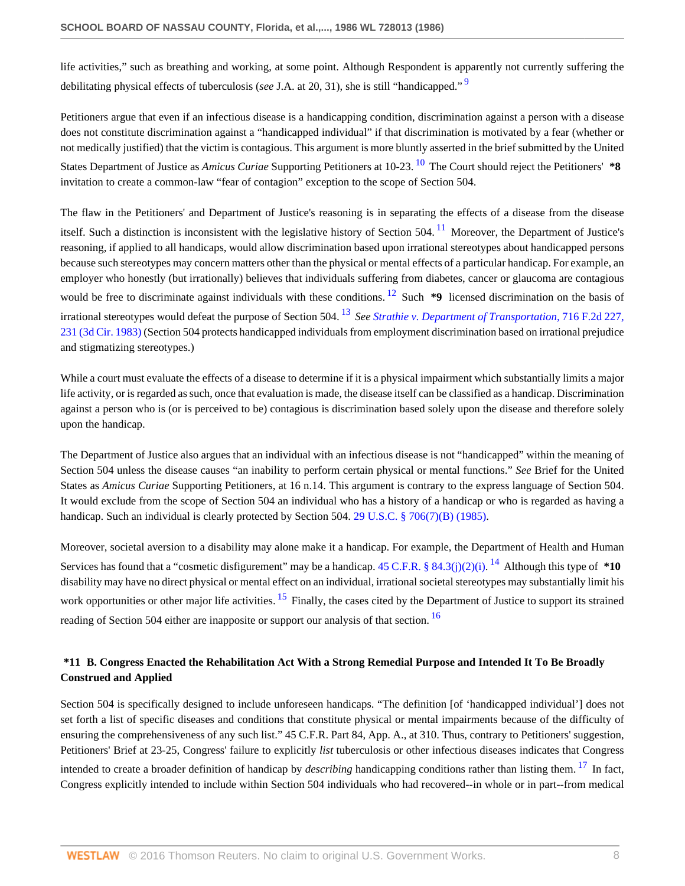<span id="page-7-0"></span>life activities," such as breathing and working, at some point. Although Respondent is apparently not currently suffering the debilitating physical effects of tuberculosis (*see* J.A. at 20, 31), she is still "handicapped." [9](#page-14-7)

<span id="page-7-1"></span>Petitioners argue that even if an infectious disease is a handicapping condition, discrimination against a person with a disease does not constitute discrimination against a "handicapped individual" if that discrimination is motivated by a fear (whether or not medically justified) that the victim is contagious. This argument is more bluntly asserted in the brief submitted by the United States Department of Justice as *Amicus Curiae* Supporting Petitioners at 10-23. [10](#page-14-8) The Court should reject the Petitioners' **\*8** invitation to create a common-law "fear of contagion" exception to the scope of Section 504.

<span id="page-7-3"></span><span id="page-7-2"></span>The flaw in the Petitioners' and Department of Justice's reasoning is in separating the effects of a disease from the disease itself. Such a distinction is inconsistent with the legislative history of Section 504.<sup>[11](#page-14-9)</sup> Moreover, the Department of Justice's reasoning, if applied to all handicaps, would allow discrimination based upon irrational stereotypes about handicapped persons because such stereotypes may concern matters other than the physical or mental effects of a particular handicap. For example, an employer who honestly (but irrationally) believes that individuals suffering from diabetes, cancer or glaucoma are contagious would be free to discriminate against individuals with these conditions.<sup>[12](#page-14-10)</sup> Such \*9 licensed discrimination on the basis of irrational stereotypes would defeat the purpose of Section 504. [13](#page-14-11) *See [Strathie v. Department of Transportation,](http://www.westlaw.com/Link/Document/FullText?findType=Y&serNum=1983141447&pubNum=350&originatingDoc=Icbf326bc6bf111d8a0069cc1490382dc&refType=RP&fi=co_pp_sp_350_231&originationContext=document&vr=3.0&rs=cblt1.0&transitionType=DocumentItem&contextData=(sc.Search)#co_pp_sp_350_231)* 716 F.2d 227, [231 \(3d Cir. 1983\)](http://www.westlaw.com/Link/Document/FullText?findType=Y&serNum=1983141447&pubNum=350&originatingDoc=Icbf326bc6bf111d8a0069cc1490382dc&refType=RP&fi=co_pp_sp_350_231&originationContext=document&vr=3.0&rs=cblt1.0&transitionType=DocumentItem&contextData=(sc.Search)#co_pp_sp_350_231) (Section 504 protects handicapped individuals from employment discrimination based on irrational prejudice and stigmatizing stereotypes.)

<span id="page-7-4"></span>While a court must evaluate the effects of a disease to determine if it is a physical impairment which substantially limits a major life activity, or is regarded as such, once that evaluation is made, the disease itself can be classified as a handicap. Discrimination against a person who is (or is perceived to be) contagious is discrimination based solely upon the disease and therefore solely upon the handicap.

The Department of Justice also argues that an individual with an infectious disease is not "handicapped" within the meaning of Section 504 unless the disease causes "an inability to perform certain physical or mental functions." *See* Brief for the United States as *Amicus Curiae* Supporting Petitioners, at 16 n.14. This argument is contrary to the express language of Section 504. It would exclude from the scope of Section 504 an individual who has a history of a handicap or who is regarded as having a handicap. Such an individual is clearly protected by Section 504. [29 U.S.C. § 706\(7\)\(B\) \(1985\).](http://www.westlaw.com/Link/Document/FullText?findType=L&pubNum=1000546&cite=29USCAS706&originatingDoc=Icbf326bc6bf111d8a0069cc1490382dc&refType=LQ&originationContext=document&vr=3.0&rs=cblt1.0&transitionType=DocumentItem&contextData=(sc.Search))

<span id="page-7-6"></span><span id="page-7-5"></span>Moreover, societal aversion to a disability may alone make it a handicap. For example, the Department of Health and Human Services has found that a "cosmetic disfigurement" may be a handicap. [45 C.F.R. § 84.3\(j\)\(2\)\(i\)](http://www.westlaw.com/Link/Document/FullText?findType=L&pubNum=1000547&cite=45CFRS84.3&originatingDoc=Icbf326bc6bf111d8a0069cc1490382dc&refType=LQ&originationContext=document&vr=3.0&rs=cblt1.0&transitionType=DocumentItem&contextData=(sc.Search)). <sup>[14](#page-14-12)</sup> Although this type of \*10 disability may have no direct physical or mental effect on an individual, irrational societal stereotypes may substantially limit his work opportunities or other major life activities. <sup>[15](#page-15-0)</sup> Finally, the cases cited by the Department of Justice to support its strained reading of Section 504 either are inapposite or support our analysis of that section. [16](#page-15-1)

# <span id="page-7-7"></span>**\*11 B. Congress Enacted the Rehabilitation Act With a Strong Remedial Purpose and Intended It To Be Broadly Construed and Applied**

<span id="page-7-8"></span>Section 504 is specifically designed to include unforeseen handicaps. "The definition [of 'handicapped individual'] does not set forth a list of specific diseases and conditions that constitute physical or mental impairments because of the difficulty of ensuring the comprehensiveness of any such list." 45 C.F.R. Part 84, App. A., at 310. Thus, contrary to Petitioners' suggestion, Petitioners' Brief at 23-25, Congress' failure to explicitly *list* tuberculosis or other infectious diseases indicates that Congress intended to create a broader definition of handicap by *describing* handicapping conditions rather than listing them. <sup>[17](#page-15-2)</sup> In fact, Congress explicitly intended to include within Section 504 individuals who had recovered--in whole or in part--from medical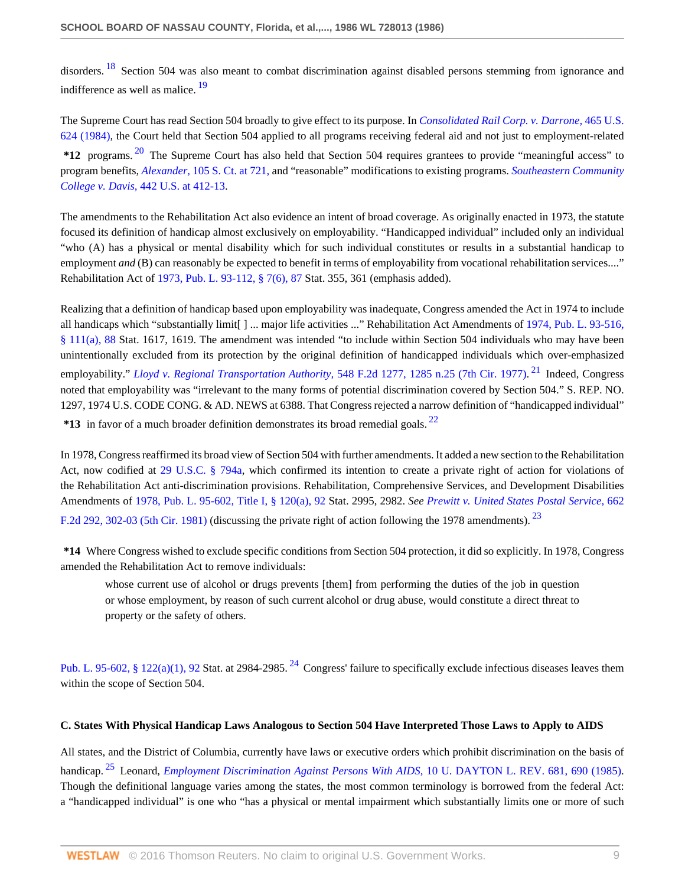<span id="page-8-1"></span><span id="page-8-0"></span>disorders. <sup>[18](#page-15-3)</sup> Section 504 was also meant to combat discrimination against disabled persons stemming from ignorance and indifference as well as malice. <sup>[19](#page-15-4)</sup>

<span id="page-8-2"></span>The Supreme Court has read Section 504 broadly to give effect to its purpose. In *[Consolidated Rail Corp. v. Darrone,](http://www.westlaw.com/Link/Document/FullText?findType=Y&serNum=1984110002&pubNum=780&originatingDoc=Icbf326bc6bf111d8a0069cc1490382dc&refType=RP&originationContext=document&vr=3.0&rs=cblt1.0&transitionType=DocumentItem&contextData=(sc.Search))* 465 U.S. [624 \(1984\),](http://www.westlaw.com/Link/Document/FullText?findType=Y&serNum=1984110002&pubNum=780&originatingDoc=Icbf326bc6bf111d8a0069cc1490382dc&refType=RP&originationContext=document&vr=3.0&rs=cblt1.0&transitionType=DocumentItem&contextData=(sc.Search)) the Court held that Section 504 applied to all programs receiving federal aid and not just to employment-related **\*12** programs. [20](#page-15-5) The Supreme Court has also held that Section 504 requires grantees to provide "meaningful access" to program benefits, *Alexander,* [105 S. Ct. at 721,](http://www.westlaw.com/Link/Document/FullText?findType=Y&serNum=1985101524&pubNum=708&originatingDoc=Icbf326bc6bf111d8a0069cc1490382dc&refType=RP&fi=co_pp_sp_708_721&originationContext=document&vr=3.0&rs=cblt1.0&transitionType=DocumentItem&contextData=(sc.Search)#co_pp_sp_708_721) and "reasonable" modifications to existing programs. *[Southeastern Community](http://www.westlaw.com/Link/Document/FullText?findType=Y&serNum=1979135140&pubNum=780&originatingDoc=Icbf326bc6bf111d8a0069cc1490382dc&refType=RP&fi=co_pp_sp_780_412&originationContext=document&vr=3.0&rs=cblt1.0&transitionType=DocumentItem&contextData=(sc.Search)#co_pp_sp_780_412) College v. Davis,* [442 U.S. at 412-13](http://www.westlaw.com/Link/Document/FullText?findType=Y&serNum=1979135140&pubNum=780&originatingDoc=Icbf326bc6bf111d8a0069cc1490382dc&refType=RP&fi=co_pp_sp_780_412&originationContext=document&vr=3.0&rs=cblt1.0&transitionType=DocumentItem&contextData=(sc.Search)#co_pp_sp_780_412).

The amendments to the Rehabilitation Act also evidence an intent of broad coverage. As originally enacted in 1973, the statute focused its definition of handicap almost exclusively on employability. "Handicapped individual" included only an individual "who (A) has a physical or mental disability which for such individual constitutes or results in a substantial handicap to employment *and* (B) can reasonably be expected to benefit in terms of employability from vocational rehabilitation services...." Rehabilitation Act of [1973, Pub. L. 93-112, § 7\(6\), 87](http://www.westlaw.com/Link/Document/FullText?findType=L&pubNum=1000819&cite=USPL93-112&originatingDoc=Icbf326bc6bf111d8a0069cc1490382dc&refType=LQ&originationContext=document&vr=3.0&rs=cblt1.0&transitionType=DocumentItem&contextData=(sc.Search)) Stat. 355, 361 (emphasis added).

Realizing that a definition of handicap based upon employability was inadequate, Congress amended the Act in 1974 to include all handicaps which "substantially limit[ ] ... major life activities ..." Rehabilitation Act Amendments of [1974, Pub. L. 93-516,](http://www.westlaw.com/Link/Document/FullText?findType=L&pubNum=1000819&cite=USPL93-516&originatingDoc=Icbf326bc6bf111d8a0069cc1490382dc&refType=LQ&originationContext=document&vr=3.0&rs=cblt1.0&transitionType=DocumentItem&contextData=(sc.Search)) [§ 111\(a\), 88](http://www.westlaw.com/Link/Document/FullText?findType=L&pubNum=1000819&cite=USPL93-516&originatingDoc=Icbf326bc6bf111d8a0069cc1490382dc&refType=LQ&originationContext=document&vr=3.0&rs=cblt1.0&transitionType=DocumentItem&contextData=(sc.Search)) Stat. 1617, 1619. The amendment was intended "to include within Section 504 individuals who may have been unintentionally excluded from its protection by the original definition of handicapped individuals which over-emphasized employability." *[Lloyd v. Regional Transportation Authority,](http://www.westlaw.com/Link/Document/FullText?findType=Y&serNum=1977103879&pubNum=350&originatingDoc=Icbf326bc6bf111d8a0069cc1490382dc&refType=RP&fi=co_pp_sp_350_1285&originationContext=document&vr=3.0&rs=cblt1.0&transitionType=DocumentItem&contextData=(sc.Search)#co_pp_sp_350_1285)* 548 F.2d 1277, 1285 n.25 (7th Cir. 1977). [21](#page-15-6) Indeed, Congress noted that employability was "irrelevant to the many forms of potential discrimination covered by Section 504." S. REP. NO. 1297, 1974 U.S. CODE CONG. & AD. NEWS at 6388. That Congress rejected a narrow definition of "handicapped individual"

<span id="page-8-3"></span>**\*13** in favor of a much broader definition demonstrates its broad remedial goals. [22](#page-15-7)

In 1978, Congress reaffirmed its broad view of Section 504 with further amendments. It added a new section to the Rehabilitation Act, now codified at [29 U.S.C. § 794a](http://www.westlaw.com/Link/Document/FullText?findType=L&pubNum=1000546&cite=29USCAS794A&originatingDoc=Icbf326bc6bf111d8a0069cc1490382dc&refType=LQ&originationContext=document&vr=3.0&rs=cblt1.0&transitionType=DocumentItem&contextData=(sc.Search)), which confirmed its intention to create a private right of action for violations of the Rehabilitation Act anti-discrimination provisions. Rehabilitation, Comprehensive Services, and Development Disabilities Amendments of [1978, Pub. L. 95-602, Title I, § 120\(a\), 92](http://www.westlaw.com/Link/Document/FullText?findType=L&pubNum=1000819&cite=USPL95-602&originatingDoc=Icbf326bc6bf111d8a0069cc1490382dc&refType=LQ&originationContext=document&vr=3.0&rs=cblt1.0&transitionType=DocumentItem&contextData=(sc.Search)) Stat. 2995, 2982. *See [Prewitt v. United States Postal Service,](http://www.westlaw.com/Link/Document/FullText?findType=Y&serNum=1981146400&pubNum=350&originatingDoc=Icbf326bc6bf111d8a0069cc1490382dc&refType=RP&fi=co_pp_sp_350_302&originationContext=document&vr=3.0&rs=cblt1.0&transitionType=DocumentItem&contextData=(sc.Search)#co_pp_sp_350_302)* 662 [F.2d 292, 302-03 \(5th Cir. 1981\)](http://www.westlaw.com/Link/Document/FullText?findType=Y&serNum=1981146400&pubNum=350&originatingDoc=Icbf326bc6bf111d8a0069cc1490382dc&refType=RP&fi=co_pp_sp_350_302&originationContext=document&vr=3.0&rs=cblt1.0&transitionType=DocumentItem&contextData=(sc.Search)#co_pp_sp_350_302) (discussing the private right of action following the 1978 amendments). <sup>[23](#page-15-8)</sup>

**\*14** Where Congress wished to exclude specific conditions from Section 504 protection, it did so explicitly. In 1978, Congress amended the Rehabilitation Act to remove individuals:

<span id="page-8-6"></span><span id="page-8-5"></span><span id="page-8-4"></span>whose current use of alcohol or drugs prevents [them] from performing the duties of the job in question or whose employment, by reason of such current alcohol or drug abuse, would constitute a direct threat to property or the safety of others.

[Pub. L. 95-602, § 122\(a\)\(1\), 92](http://www.westlaw.com/Link/Document/FullText?findType=L&pubNum=1000819&cite=USPL95-602&originatingDoc=Icbf326bc6bf111d8a0069cc1490382dc&refType=LQ&originationContext=document&vr=3.0&rs=cblt1.0&transitionType=DocumentItem&contextData=(sc.Search)) Stat. at 2984-2985.<sup>[24](#page-15-9)</sup> Congress' failure to specifically exclude infectious diseases leaves them within the scope of Section 504.

## **C. States With Physical Handicap Laws Analogous to Section 504 Have Interpreted Those Laws to Apply to AIDS**

<span id="page-8-7"></span>All states, and the District of Columbia, currently have laws or executive orders which prohibit discrimination on the basis of handicap. [25](#page-15-10) Leonard, *[Employment Discrimination Against Persons With AIDS,](http://www.westlaw.com/Link/Document/FullText?findType=Y&serNum=0102683074&pubNum=1261&originatingDoc=Icbf326bc6bf111d8a0069cc1490382dc&refType=LR&fi=co_pp_sp_1261_690&originationContext=document&vr=3.0&rs=cblt1.0&transitionType=DocumentItem&contextData=(sc.Search)#co_pp_sp_1261_690)* 10 U. DAYTON L. REV. 681, 690 (1985). Though the definitional language varies among the states, the most common terminology is borrowed from the federal Act: a "handicapped individual" is one who "has a physical or mental impairment which substantially limits one or more of such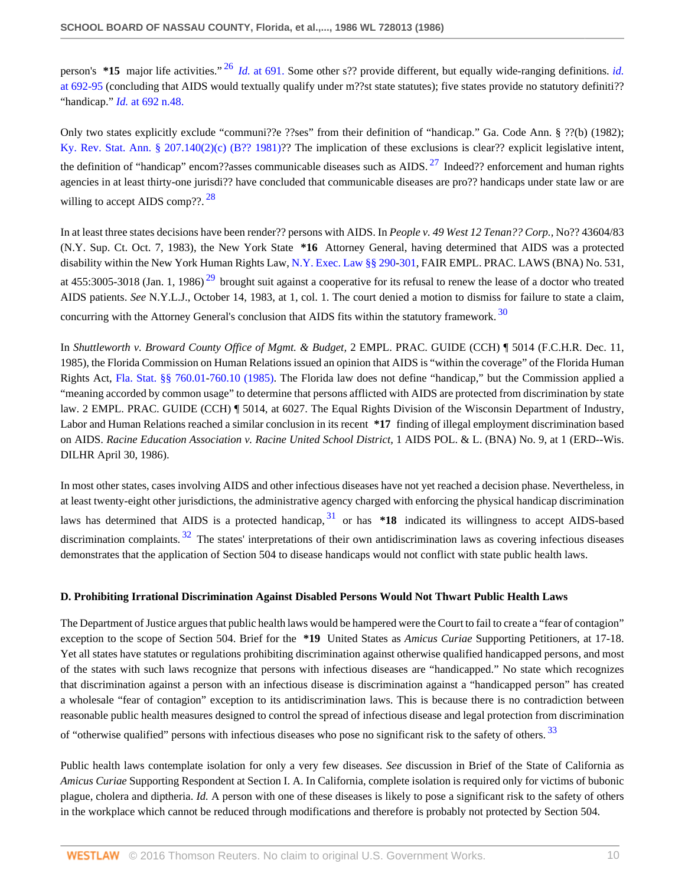<span id="page-9-0"></span>person's **\*15** major life activities." [26](#page-16-0) *Id.* [at 691.](http://www.westlaw.com/Link/Document/FullText?findType=Y&serNum=0102683074&originatingDoc=Icbf326bc6bf111d8a0069cc1490382dc&refType=LR&originationContext=document&vr=3.0&rs=cblt1.0&transitionType=DocumentItem&contextData=(sc.Search)) Some other s?? provide different, but equally wide-ranging definitions. *[id.](http://www.westlaw.com/Link/Document/FullText?findType=Y&serNum=0102683074&originatingDoc=Icbf326bc6bf111d8a0069cc1490382dc&refType=LR&originationContext=document&vr=3.0&rs=cblt1.0&transitionType=DocumentItem&contextData=(sc.Search))* [at 692-95](http://www.westlaw.com/Link/Document/FullText?findType=Y&serNum=0102683074&originatingDoc=Icbf326bc6bf111d8a0069cc1490382dc&refType=LR&originationContext=document&vr=3.0&rs=cblt1.0&transitionType=DocumentItem&contextData=(sc.Search)) (concluding that AIDS would textually qualify under m??st state statutes); five states provide no statutory definiti?? "handicap." *Id.* [at 692 n.48.](http://www.westlaw.com/Link/Document/FullText?findType=Y&serNum=0102683074&originatingDoc=Icbf326bc6bf111d8a0069cc1490382dc&refType=LR&originationContext=document&vr=3.0&rs=cblt1.0&transitionType=DocumentItem&contextData=(sc.Search))

<span id="page-9-1"></span>Only two states explicitly exclude "communi??e ??ses" from their definition of "handicap." Ga. Code Ann. § ??(b) (1982); [Ky. Rev. Stat. Ann. § 207.140\(2\)\(c\) \(B?? 1981\)](http://www.westlaw.com/Link/Document/FullText?findType=L&pubNum=1000010&cite=KYSTS207.140&originatingDoc=Icbf326bc6bf111d8a0069cc1490382dc&refType=LQ&originationContext=document&vr=3.0&rs=cblt1.0&transitionType=DocumentItem&contextData=(sc.Search))?? The implication of these exclusions is clear?? explicit legislative intent, the definition of "handicap" encom??asses communicable diseases such as AIDS.  $^{27}$  $^{27}$  $^{27}$  Indeed?? enforcement and human rights agencies in at least thirty-one jurisdi?? have concluded that communicable diseases are pro?? handicaps under state law or are willing to accept AIDS comp??.  $28$ 

<span id="page-9-3"></span><span id="page-9-2"></span>In at least three states decisions have been render?? persons with AIDS. In *People v. 49 West 12 Tenan?? Corp.,* No?? 43604/83 (N.Y. Sup. Ct. Oct. 7, 1983), the New York State **\*16** Attorney General, having determined that AIDS was a protected disability within the New York Human Rights Law, [N.Y. Exec. Law §§ 290-](http://www.westlaw.com/Link/Document/FullText?findType=L&pubNum=1000300&cite=NYEXS290&originatingDoc=Icbf326bc6bf111d8a0069cc1490382dc&refType=LQ&originationContext=document&vr=3.0&rs=cblt1.0&transitionType=DocumentItem&contextData=(sc.Search))[301](http://www.westlaw.com/Link/Document/FullText?findType=L&pubNum=1000300&cite=NYEXS301&originatingDoc=Icbf326bc6bf111d8a0069cc1490382dc&refType=LQ&originationContext=document&vr=3.0&rs=cblt1.0&transitionType=DocumentItem&contextData=(sc.Search)), FAIR EMPL. PRAC. LAWS (BNA) No. 531, at  $455:3005-3018$  (Jan. 1, 1986)<sup>[29](#page-16-3)</sup> brought suit against a cooperative for its refusal to renew the lease of a doctor who treated AIDS patients. *See* N.Y.L.J., October 14, 1983, at 1, col. 1. The court denied a motion to dismiss for failure to state a claim, concurring with the Attorney General's conclusion that AIDS fits within the statutory framework.<sup>[30](#page-16-4)</sup>

<span id="page-9-4"></span>In *Shuttleworth v. Broward County Office of Mgmt. & Budget,* 2 EMPL. PRAC. GUIDE (CCH) ¶ 5014 (F.C.H.R. Dec. 11, 1985), the Florida Commission on Human Relations issued an opinion that AIDS is "within the coverage" of the Florida Human Rights Act, [Fla. Stat. §§ 760.01](http://www.westlaw.com/Link/Document/FullText?findType=L&pubNum=1000006&cite=FLSTS760.01&originatingDoc=Icbf326bc6bf111d8a0069cc1490382dc&refType=LQ&originationContext=document&vr=3.0&rs=cblt1.0&transitionType=DocumentItem&contextData=(sc.Search))[-760.10 \(1985\).](http://www.westlaw.com/Link/Document/FullText?findType=L&pubNum=1000006&cite=FLSTS760.10&originatingDoc=Icbf326bc6bf111d8a0069cc1490382dc&refType=LQ&originationContext=document&vr=3.0&rs=cblt1.0&transitionType=DocumentItem&contextData=(sc.Search)) The Florida law does not define "handicap," but the Commission applied a "meaning accorded by common usage" to determine that persons afflicted with AIDS are protected from discrimination by state law. 2 EMPL. PRAC. GUIDE (CCH) ¶ 5014, at 6027. The Equal Rights Division of the Wisconsin Department of Industry, Labor and Human Relations reached a similar conclusion in its recent **\*17** finding of illegal employment discrimination based on AIDS. *Racine Education Association v. Racine United School District,* 1 AIDS POL. & L. (BNA) No. 9, at 1 (ERD--Wis. DILHR April 30, 1986).

<span id="page-9-6"></span><span id="page-9-5"></span>In most other states, cases involving AIDS and other infectious diseases have not yet reached a decision phase. Nevertheless, in at least twenty-eight other jurisdictions, the administrative agency charged with enforcing the physical handicap discrimination laws has determined that AIDS is a protected handicap,  $31$  or has  $*18$  indicated its willingness to accept AIDS-based discrimination complaints.  $32$  The states' interpretations of their own antidiscrimination laws as covering infectious diseases demonstrates that the application of Section 504 to disease handicaps would not conflict with state public health laws.

## **D. Prohibiting Irrational Discrimination Against Disabled Persons Would Not Thwart Public Health Laws**

The Department of Justice argues that public health laws would be hampered were the Court to fail to create a "fear of contagion" exception to the scope of Section 504. Brief for the **\*19** United States as *Amicus Curiae* Supporting Petitioners, at 17-18. Yet all states have statutes or regulations prohibiting discrimination against otherwise qualified handicapped persons, and most of the states with such laws recognize that persons with infectious diseases are "handicapped." No state which recognizes that discrimination against a person with an infectious disease is discrimination against a "handicapped person" has created a wholesale "fear of contagion" exception to its antidiscrimination laws. This is because there is no contradiction between reasonable public health measures designed to control the spread of infectious disease and legal protection from discrimination of "otherwise qualified" persons with infectious diseases who pose no significant risk to the safety of others.<sup>[33](#page-17-0)</sup>

<span id="page-9-7"></span>Public health laws contemplate isolation for only a very few diseases. *See* discussion in Brief of the State of California as *Amicus Curiae* Supporting Respondent at Section I. A. In California, complete isolation is required only for victims of bubonic plague, cholera and diptheria. *Id.* A person with one of these diseases is likely to pose a significant risk to the safety of others in the workplace which cannot be reduced through modifications and therefore is probably not protected by Section 504.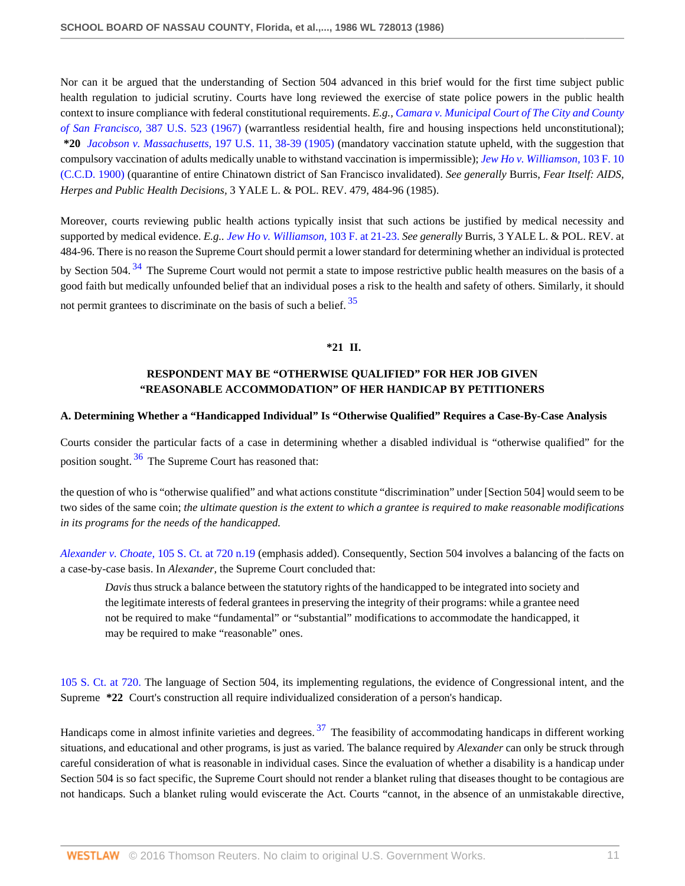Nor can it be argued that the understanding of Section 504 advanced in this brief would for the first time subject public health regulation to judicial scrutiny. Courts have long reviewed the exercise of state police powers in the public health context to insure compliance with federal constitutional requirements. *E.g., [Camara v. Municipal Court of The City and County](http://www.westlaw.com/Link/Document/FullText?findType=Y&serNum=1967100887&pubNum=780&originatingDoc=Icbf326bc6bf111d8a0069cc1490382dc&refType=RP&originationContext=document&vr=3.0&rs=cblt1.0&transitionType=DocumentItem&contextData=(sc.Search)) of San Francisco,* [387 U.S. 523 \(1967\)](http://www.westlaw.com/Link/Document/FullText?findType=Y&serNum=1967100887&pubNum=780&originatingDoc=Icbf326bc6bf111d8a0069cc1490382dc&refType=RP&originationContext=document&vr=3.0&rs=cblt1.0&transitionType=DocumentItem&contextData=(sc.Search)) (warrantless residential health, fire and housing inspections held unconstitutional); **\*20** *Jacobson v. Massachusetts,* [197 U.S. 11, 38-39 \(1905\)](http://www.westlaw.com/Link/Document/FullText?findType=Y&serNum=1905100356&pubNum=780&originatingDoc=Icbf326bc6bf111d8a0069cc1490382dc&refType=RP&fi=co_pp_sp_780_38&originationContext=document&vr=3.0&rs=cblt1.0&transitionType=DocumentItem&contextData=(sc.Search)#co_pp_sp_780_38) (mandatory vaccination statute upheld, with the suggestion that compulsory vaccination of adults medically unable to withstand vaccination is impermissible); *[Jew Ho v. Williamson,](http://www.westlaw.com/Link/Document/FullText?findType=Y&serNum=1900120681&pubNum=348&originatingDoc=Icbf326bc6bf111d8a0069cc1490382dc&refType=RP&originationContext=document&vr=3.0&rs=cblt1.0&transitionType=DocumentItem&contextData=(sc.Search))* 103 F. 10 [\(C.C.D. 1900\)](http://www.westlaw.com/Link/Document/FullText?findType=Y&serNum=1900120681&pubNum=348&originatingDoc=Icbf326bc6bf111d8a0069cc1490382dc&refType=RP&originationContext=document&vr=3.0&rs=cblt1.0&transitionType=DocumentItem&contextData=(sc.Search)) (quarantine of entire Chinatown district of San Francisco invalidated). *See generally* Burris, *Fear Itself: AIDS, Herpes and Public Health Decisions,* 3 YALE L. & POL. REV. 479, 484-96 (1985).

<span id="page-10-0"></span>Moreover, courts reviewing public health actions typically insist that such actions be justified by medical necessity and supported by medical evidence. *E.g.. [Jew Ho v. Williamson,](http://www.westlaw.com/Link/Document/FullText?findType=Y&serNum=1900120681&pubNum=348&originatingDoc=Icbf326bc6bf111d8a0069cc1490382dc&refType=RP&fi=co_pp_sp_348_21&originationContext=document&vr=3.0&rs=cblt1.0&transitionType=DocumentItem&contextData=(sc.Search)#co_pp_sp_348_21)* 103 F. at 21-23. *See generally* Burris, 3 YALE L. & POL. REV. at 484-96. There is no reason the Supreme Court should permit a lower standard for determining whether an individual is protected by Section 504.<sup>[34](#page-17-1)</sup> The Supreme Court would not permit a state to impose restrictive public health measures on the basis of a good faith but medically unfounded belief that an individual poses a risk to the health and safety of others. Similarly, it should not permit grantees to discriminate on the basis of such a belief.<sup>[35](#page-17-2)</sup>

### <span id="page-10-1"></span>**\*21 II.**

# **RESPONDENT MAY BE "OTHERWISE QUALIFIED" FOR HER JOB GIVEN "REASONABLE ACCOMMODATION" OF HER HANDICAP BY PETITIONERS**

### **A. Determining Whether a "Handicapped Individual" Is "Otherwise Qualified" Requires a Case-By-Case Analysis**

<span id="page-10-2"></span>Courts consider the particular facts of a case in determining whether a disabled individual is "otherwise qualified" for the position sought.  $36$  The Supreme Court has reasoned that:

the question of who is "otherwise qualified" and what actions constitute "discrimination" under [Section 504] would seem to be two sides of the same coin; *the ultimate question is the extent to which a grantee is required to make reasonable modifications in its programs for the needs of the handicapped.*

*Alexander v. Choate,* [105 S. Ct. at 720 n.19](http://www.westlaw.com/Link/Document/FullText?findType=Y&serNum=1985101524&pubNum=708&originatingDoc=Icbf326bc6bf111d8a0069cc1490382dc&refType=RP&fi=co_pp_sp_708_720&originationContext=document&vr=3.0&rs=cblt1.0&transitionType=DocumentItem&contextData=(sc.Search)#co_pp_sp_708_720) (emphasis added). Consequently, Section 504 involves a balancing of the facts on a case-by-case basis. In *Alexander,* the Supreme Court concluded that:

<span id="page-10-3"></span>*Davis* thus struck a balance between the statutory rights of the handicapped to be integrated into society and the legitimate interests of federal grantees in preserving the integrity of their programs: while a grantee need not be required to make "fundamental" or "substantial" modifications to accommodate the handicapped, it may be required to make "reasonable" ones.

[105 S. Ct. at 720.](http://www.westlaw.com/Link/Document/FullText?findType=Y&serNum=1985101524&pubNum=708&originatingDoc=Icbf326bc6bf111d8a0069cc1490382dc&refType=RP&fi=co_pp_sp_708_720&originationContext=document&vr=3.0&rs=cblt1.0&transitionType=DocumentItem&contextData=(sc.Search)#co_pp_sp_708_720) The language of Section 504, its implementing regulations, the evidence of Congressional intent, and the Supreme **\*22** Court's construction all require individualized consideration of a person's handicap.

Handicaps come in almost infinite varieties and degrees.  $37$  The feasibility of accommodating handicaps in different working situations, and educational and other programs, is just as varied. The balance required by *Alexander* can only be struck through careful consideration of what is reasonable in individual cases. Since the evaluation of whether a disability is a handicap under Section 504 is so fact specific, the Supreme Court should not render a blanket ruling that diseases thought to be contagious are not handicaps. Such a blanket ruling would eviscerate the Act. Courts "cannot, in the absence of an unmistakable directive,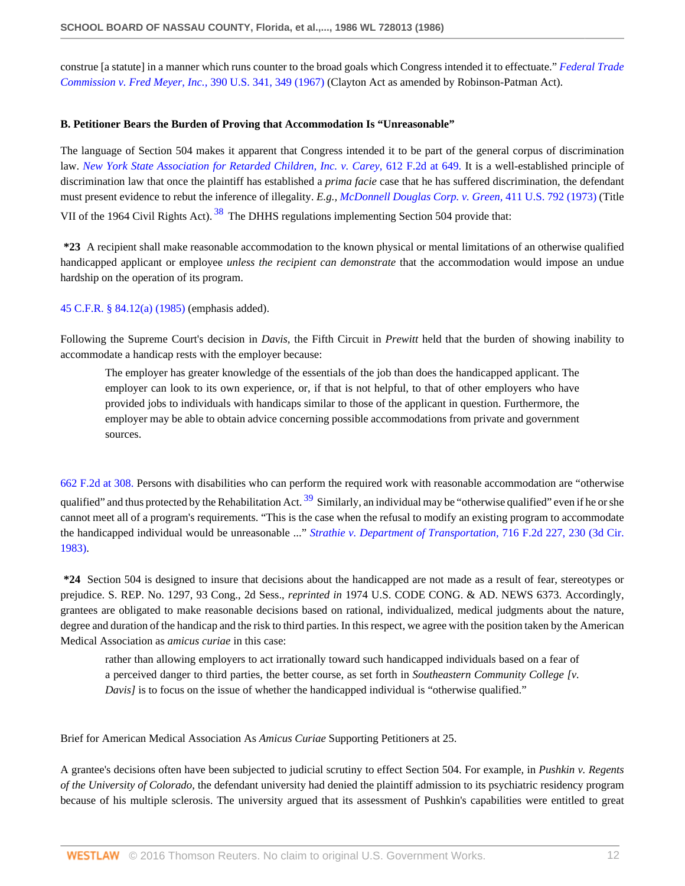construe [a statute] in a manner which runs counter to the broad goals which Congress intended it to effectuate." *[Federal Trade](http://www.westlaw.com/Link/Document/FullText?findType=Y&serNum=1968131136&pubNum=780&originatingDoc=Icbf326bc6bf111d8a0069cc1490382dc&refType=RP&fi=co_pp_sp_780_349&originationContext=document&vr=3.0&rs=cblt1.0&transitionType=DocumentItem&contextData=(sc.Search)#co_pp_sp_780_349) [Commission v. Fred Meyer, Inc.,](http://www.westlaw.com/Link/Document/FullText?findType=Y&serNum=1968131136&pubNum=780&originatingDoc=Icbf326bc6bf111d8a0069cc1490382dc&refType=RP&fi=co_pp_sp_780_349&originationContext=document&vr=3.0&rs=cblt1.0&transitionType=DocumentItem&contextData=(sc.Search)#co_pp_sp_780_349)* 390 U.S. 341, 349 (1967) (Clayton Act as amended by Robinson-Patman Act).

### **B. Petitioner Bears the Burden of Proving that Accommodation Is "Unreasonable"**

The language of Section 504 makes it apparent that Congress intended it to be part of the general corpus of discrimination law. *[New York State Association for Retarded Children, Inc. v. Carey,](http://www.westlaw.com/Link/Document/FullText?findType=Y&serNum=1980192727&pubNum=350&originatingDoc=Icbf326bc6bf111d8a0069cc1490382dc&refType=RP&fi=co_pp_sp_350_649&originationContext=document&vr=3.0&rs=cblt1.0&transitionType=DocumentItem&contextData=(sc.Search)#co_pp_sp_350_649)* 612 F.2d at 649. It is a well-established principle of discrimination law that once the plaintiff has established a *prima facie* case that he has suffered discrimination, the defendant must present evidence to rebut the inference of illegality. *E.g., [McDonnell Douglas Corp. v. Green,](http://www.westlaw.com/Link/Document/FullText?findType=Y&serNum=1973126392&pubNum=780&originatingDoc=Icbf326bc6bf111d8a0069cc1490382dc&refType=RP&originationContext=document&vr=3.0&rs=cblt1.0&transitionType=DocumentItem&contextData=(sc.Search))* 411 U.S. 792 (1973) (Title VII of the 1964 Civil Rights Act). <sup>[38](#page-17-5)</sup> The DHHS regulations implementing Section 504 provide that:

<span id="page-11-0"></span>**\*23** A recipient shall make reasonable accommodation to the known physical or mental limitations of an otherwise qualified handicapped applicant or employee *unless the recipient can demonstrate* that the accommodation would impose an undue hardship on the operation of its program.

[45 C.F.R. § 84.12\(a\) \(1985\)](http://www.westlaw.com/Link/Document/FullText?findType=L&pubNum=1000547&cite=45CFRS84.12&originatingDoc=Icbf326bc6bf111d8a0069cc1490382dc&refType=LQ&originationContext=document&vr=3.0&rs=cblt1.0&transitionType=DocumentItem&contextData=(sc.Search)) (emphasis added).

Following the Supreme Court's decision in *Davis,* the Fifth Circuit in *Prewitt* held that the burden of showing inability to accommodate a handicap rests with the employer because:

<span id="page-11-1"></span>The employer has greater knowledge of the essentials of the job than does the handicapped applicant. The employer can look to its own experience, or, if that is not helpful, to that of other employers who have provided jobs to individuals with handicaps similar to those of the applicant in question. Furthermore, the employer may be able to obtain advice concerning possible accommodations from private and government sources.

[662 F.2d at 308.](http://www.westlaw.com/Link/Document/FullText?findType=Y&serNum=1981146400&pubNum=350&originatingDoc=Icbf326bc6bf111d8a0069cc1490382dc&refType=RP&fi=co_pp_sp_350_308&originationContext=document&vr=3.0&rs=cblt1.0&transitionType=DocumentItem&contextData=(sc.Search)#co_pp_sp_350_308) Persons with disabilities who can perform the required work with reasonable accommodation are "otherwise qualified" and thus protected by the Rehabilitation Act.  $39\$  $39\$  Similarly, an individual may be "otherwise qualified" even if he or she cannot meet all of a program's requirements. "This is the case when the refusal to modify an existing program to accommodate the handicapped individual would be unreasonable ..." *[Strathie v. Department of Transportation,](http://www.westlaw.com/Link/Document/FullText?findType=Y&serNum=1983141447&pubNum=350&originatingDoc=Icbf326bc6bf111d8a0069cc1490382dc&refType=RP&fi=co_pp_sp_350_230&originationContext=document&vr=3.0&rs=cblt1.0&transitionType=DocumentItem&contextData=(sc.Search)#co_pp_sp_350_230)* 716 F.2d 227, 230 (3d Cir. [1983\)](http://www.westlaw.com/Link/Document/FullText?findType=Y&serNum=1983141447&pubNum=350&originatingDoc=Icbf326bc6bf111d8a0069cc1490382dc&refType=RP&fi=co_pp_sp_350_230&originationContext=document&vr=3.0&rs=cblt1.0&transitionType=DocumentItem&contextData=(sc.Search)#co_pp_sp_350_230).

**\*24** Section 504 is designed to insure that decisions about the handicapped are not made as a result of fear, stereotypes or prejudice. S. REP. No. 1297, 93 Cong., 2d Sess., *reprinted in* 1974 U.S. CODE CONG. & AD. NEWS 6373. Accordingly, grantees are obligated to make reasonable decisions based on rational, individualized, medical judgments about the nature, degree and duration of the handicap and the risk to third parties. In this respect, we agree with the position taken by the American Medical Association as *amicus curiae* in this case:

rather than allowing employers to act irrationally toward such handicapped individuals based on a fear of a perceived danger to third parties, the better course, as set forth in *Southeastern Community College [v. Davis]* is to focus on the issue of whether the handicapped individual is "otherwise qualified."

Brief for American Medical Association As *Amicus Curiae* Supporting Petitioners at 25.

A grantee's decisions often have been subjected to judicial scrutiny to effect Section 504. For example, in *Pushkin v. Regents of the University of Colorado,* the defendant university had denied the plaintiff admission to its psychiatric residency program because of his multiple sclerosis. The university argued that its assessment of Pushkin's capabilities were entitled to great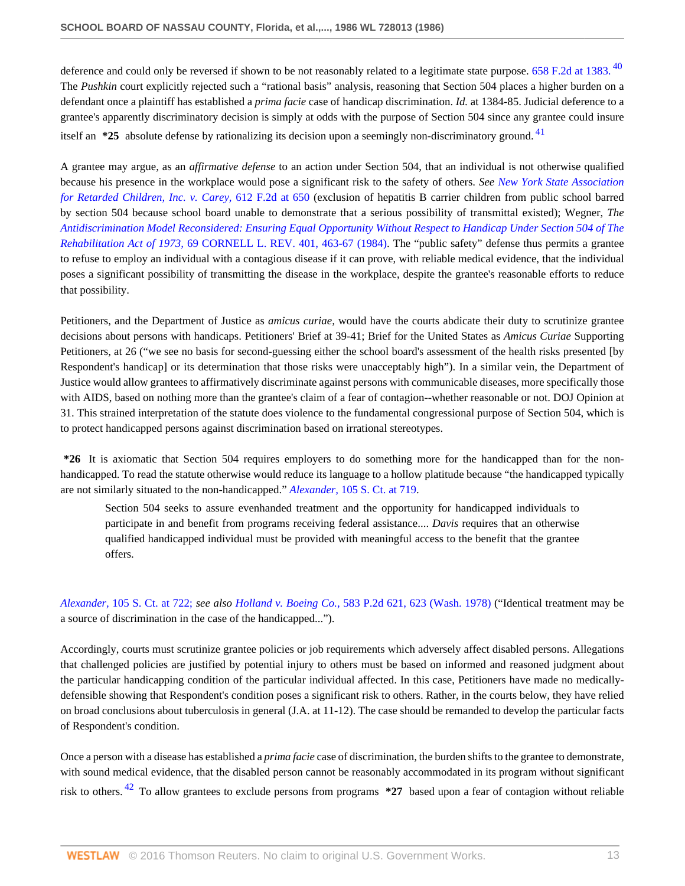<span id="page-12-0"></span>deference and could only be reversed if shown to be not reasonably related to a legitimate state purpose.  $658$  F.2d at 1383.  $^{40}$  $^{40}$  $^{40}$ The *Pushkin* court explicitly rejected such a "rational basis" analysis, reasoning that Section 504 places a higher burden on a defendant once a plaintiff has established a *prima facie* case of handicap discrimination. *Id.* at 1384-85. Judicial deference to a grantee's apparently discriminatory decision is simply at odds with the purpose of Section 504 since any grantee could insure itself an **\*25** absolute defense by rationalizing its decision upon a seemingly non-discriminatory ground. [41](#page-17-8)

<span id="page-12-1"></span>A grantee may argue, as an *affirmative defense* to an action under Section 504, that an individual is not otherwise qualified because his presence in the workplace would pose a significant risk to the safety of others. *See [New York State Association](http://www.westlaw.com/Link/Document/FullText?findType=Y&serNum=1980192727&pubNum=350&originatingDoc=Icbf326bc6bf111d8a0069cc1490382dc&refType=RP&fi=co_pp_sp_350_650&originationContext=document&vr=3.0&rs=cblt1.0&transitionType=DocumentItem&contextData=(sc.Search)#co_pp_sp_350_650) [for Retarded Children, Inc. v. Carey,](http://www.westlaw.com/Link/Document/FullText?findType=Y&serNum=1980192727&pubNum=350&originatingDoc=Icbf326bc6bf111d8a0069cc1490382dc&refType=RP&fi=co_pp_sp_350_650&originationContext=document&vr=3.0&rs=cblt1.0&transitionType=DocumentItem&contextData=(sc.Search)#co_pp_sp_350_650)* 612 F.2d at 650 (exclusion of hepatitis B carrier children from public school barred by section 504 because school board unable to demonstrate that a serious possibility of transmittal existed); Wegner, *The [Antidiscrimination Model Reconsidered: Ensuring Equal Opportunity Without Respect to Handicap Under Section 504 of The](http://www.westlaw.com/Link/Document/FullText?findType=Y&serNum=0102693973&pubNum=1111&originatingDoc=Icbf326bc6bf111d8a0069cc1490382dc&refType=LR&fi=co_pp_sp_1111_463&originationContext=document&vr=3.0&rs=cblt1.0&transitionType=DocumentItem&contextData=(sc.Search)#co_pp_sp_1111_463) Rehabilitation Act of 1973,* [69 CORNELL L. REV. 401, 463-67 \(1984\).](http://www.westlaw.com/Link/Document/FullText?findType=Y&serNum=0102693973&pubNum=1111&originatingDoc=Icbf326bc6bf111d8a0069cc1490382dc&refType=LR&fi=co_pp_sp_1111_463&originationContext=document&vr=3.0&rs=cblt1.0&transitionType=DocumentItem&contextData=(sc.Search)#co_pp_sp_1111_463) The "public safety" defense thus permits a grantee to refuse to employ an individual with a contagious disease if it can prove, with reliable medical evidence, that the individual poses a significant possibility of transmitting the disease in the workplace, despite the grantee's reasonable efforts to reduce that possibility.

Petitioners, and the Department of Justice as *amicus curiae,* would have the courts abdicate their duty to scrutinize grantee decisions about persons with handicaps. Petitioners' Brief at 39-41; Brief for the United States as *Amicus Curiae* Supporting Petitioners, at 26 ("we see no basis for second-guessing either the school board's assessment of the health risks presented [by Respondent's handicap] or its determination that those risks were unacceptably high"). In a similar vein, the Department of Justice would allow grantees to affirmatively discriminate against persons with communicable diseases, more specifically those with AIDS, based on nothing more than the grantee's claim of a fear of contagion--whether reasonable or not. DOJ Opinion at 31. This strained interpretation of the statute does violence to the fundamental congressional purpose of Section 504, which is to protect handicapped persons against discrimination based on irrational stereotypes.

**\*26** It is axiomatic that Section 504 requires employers to do something more for the handicapped than for the nonhandicapped. To read the statute otherwise would reduce its language to a hollow platitude because "the handicapped typically are not similarly situated to the non-handicapped." *Alexander,* [105 S. Ct. at 719](http://www.westlaw.com/Link/Document/FullText?findType=Y&serNum=1985101524&pubNum=708&originatingDoc=Icbf326bc6bf111d8a0069cc1490382dc&refType=RP&fi=co_pp_sp_708_719&originationContext=document&vr=3.0&rs=cblt1.0&transitionType=DocumentItem&contextData=(sc.Search)#co_pp_sp_708_719).

Section 504 seeks to assure evenhanded treatment and the opportunity for handicapped individuals to participate in and benefit from programs receiving federal assistance.... *Davis* requires that an otherwise qualified handicapped individual must be provided with meaningful access to the benefit that the grantee offers.

*Alexander,* [105 S. Ct. at 722;](http://www.westlaw.com/Link/Document/FullText?findType=Y&serNum=1985101524&pubNum=708&originatingDoc=Icbf326bc6bf111d8a0069cc1490382dc&refType=RP&fi=co_pp_sp_708_722&originationContext=document&vr=3.0&rs=cblt1.0&transitionType=DocumentItem&contextData=(sc.Search)#co_pp_sp_708_722) *see also Holland v. Boeing Co.,* [583 P.2d 621, 623 \(Wash. 1978\)](http://www.westlaw.com/Link/Document/FullText?findType=Y&serNum=1978130395&pubNum=661&originatingDoc=Icbf326bc6bf111d8a0069cc1490382dc&refType=RP&fi=co_pp_sp_661_623&originationContext=document&vr=3.0&rs=cblt1.0&transitionType=DocumentItem&contextData=(sc.Search)#co_pp_sp_661_623) ("Identical treatment may be a source of discrimination in the case of the handicapped...").

Accordingly, courts must scrutinize grantee policies or job requirements which adversely affect disabled persons. Allegations that challenged policies are justified by potential injury to others must be based on informed and reasoned judgment about the particular handicapping condition of the particular individual affected. In this case, Petitioners have made no medicallydefensible showing that Respondent's condition poses a significant risk to others. Rather, in the courts below, they have relied on broad conclusions about tuberculosis in general (J.A. at 11-12). The case should be remanded to develop the particular facts of Respondent's condition.

<span id="page-12-2"></span>Once a person with a disease has established a *prima facie* case of discrimination, the burden shifts to the grantee to demonstrate, with sound medical evidence, that the disabled person cannot be reasonably accommodated in its program without significant risk to others. [42](#page-17-9) To allow grantees to exclude persons from programs **\*27** based upon a fear of contagion without reliable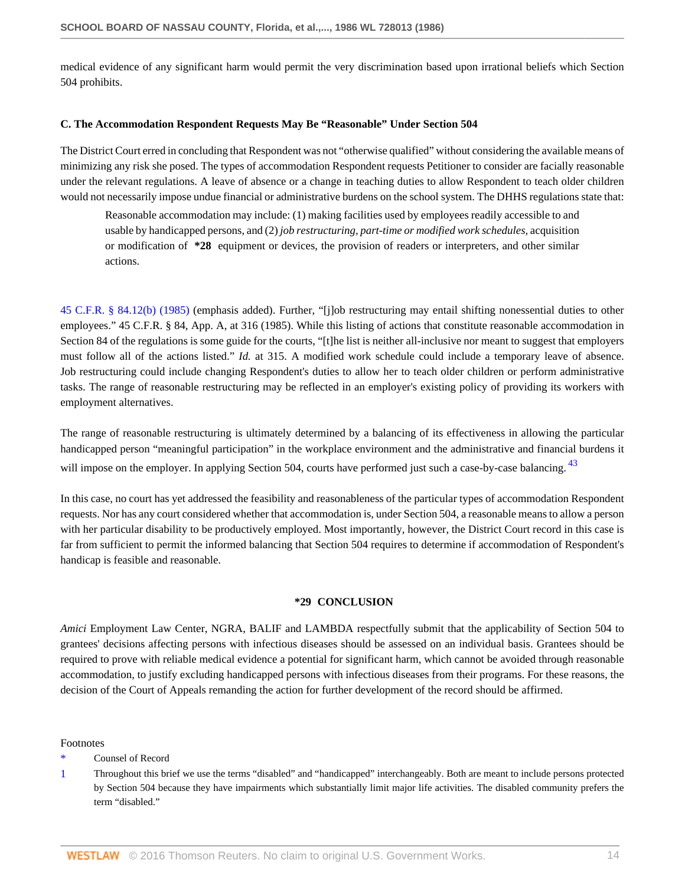medical evidence of any significant harm would permit the very discrimination based upon irrational beliefs which Section 504 prohibits.

### **C. The Accommodation Respondent Requests May Be "Reasonable" Under Section 504**

The District Court erred in concluding that Respondent was not "otherwise qualified" without considering the available means of minimizing any risk she posed. The types of accommodation Respondent requests Petitioner to consider are facially reasonable under the relevant regulations. A leave of absence or a change in teaching duties to allow Respondent to teach older children would not necessarily impose undue financial or administrative burdens on the school system. The DHHS regulations state that:

Reasonable accommodation may include: (1) making facilities used by employees readily accessible to and usable by handicapped persons, and (2) *job restructuring, part-time or modified work schedules,* acquisition or modification of **\*28** equipment or devices, the provision of readers or interpreters, and other similar actions.

[45 C.F.R. § 84.12\(b\) \(1985\)](http://www.westlaw.com/Link/Document/FullText?findType=L&pubNum=1000547&cite=45CFRS84.12&originatingDoc=Icbf326bc6bf111d8a0069cc1490382dc&refType=LQ&originationContext=document&vr=3.0&rs=cblt1.0&transitionType=DocumentItem&contextData=(sc.Search)) (emphasis added). Further, "[j]ob restructuring may entail shifting nonessential duties to other employees." 45 C.F.R. § 84, App. A, at 316 (1985). While this listing of actions that constitute reasonable accommodation in Section 84 of the regulations is some guide for the courts, "[t]he list is neither all-inclusive nor meant to suggest that employers must follow all of the actions listed." *Id.* at 315. A modified work schedule could include a temporary leave of absence. Job restructuring could include changing Respondent's duties to allow her to teach older children or perform administrative tasks. The range of reasonable restructuring may be reflected in an employer's existing policy of providing its workers with employment alternatives.

The range of reasonable restructuring is ultimately determined by a balancing of its effectiveness in allowing the particular handicapped person "meaningful participation" in the workplace environment and the administrative and financial burdens it will impose on the employer. In applying Section 504, courts have performed just such a case-by-case balancing. <sup>[43](#page-17-10)</sup>

In this case, no court has yet addressed the feasibility and reasonableness of the particular types of accommodation Respondent requests. Nor has any court considered whether that accommodation is, under Section 504, a reasonable means to allow a person with her particular disability to be productively employed. Most importantly, however, the District Court record in this case is far from sufficient to permit the informed balancing that Section 504 requires to determine if accommodation of Respondent's handicap is feasible and reasonable.

### <span id="page-13-2"></span>**\*29 CONCLUSION**

*Amici* Employment Law Center, NGRA, BALIF and LAMBDA respectfully submit that the applicability of Section 504 to grantees' decisions affecting persons with infectious diseases should be assessed on an individual basis. Grantees should be required to prove with reliable medical evidence a potential for significant harm, which cannot be avoided through reasonable accommodation, to justify excluding handicapped persons with infectious diseases from their programs. For these reasons, the decision of the Court of Appeals remanding the action for further development of the record should be affirmed.

#### Footnotes

- <span id="page-13-0"></span>Counsel of Record
- <span id="page-13-1"></span>[1](#page-5-0) Throughout this brief we use the terms "disabled" and "handicapped" interchangeably. Both are meant to include persons protected by Section 504 because they have impairments which substantially limit major life activities. The disabled community prefers the term "disabled."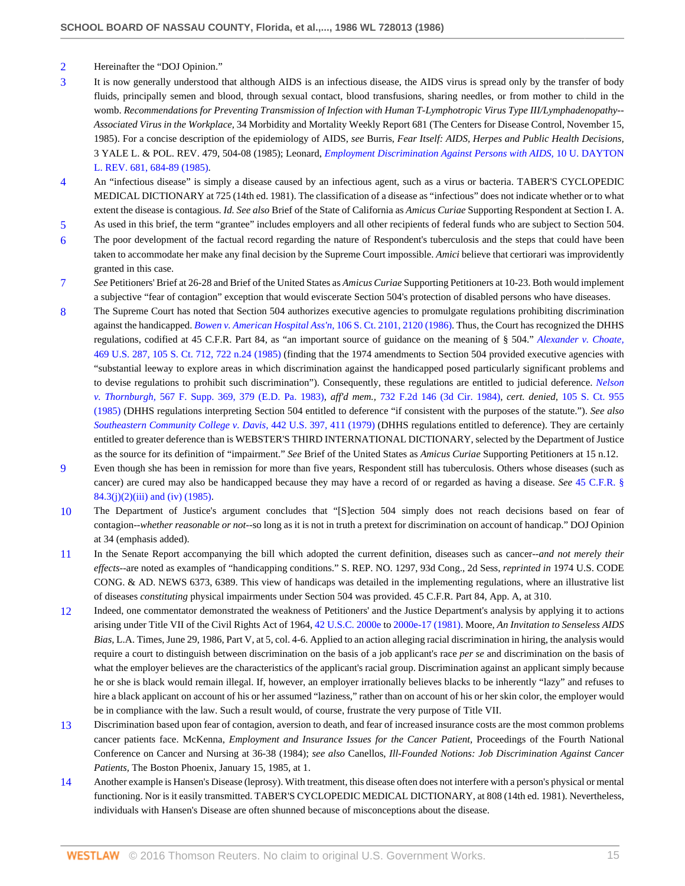- <span id="page-14-0"></span>[2](#page-5-1) Hereinafter the "DOJ Opinion."
- <span id="page-14-1"></span>[3](#page-5-2) It is now generally understood that although AIDS is an infectious disease, the AIDS virus is spread only by the transfer of body fluids, principally semen and blood, through sexual contact, blood transfusions, sharing needles, or from mother to child in the womb. *Recommendations for Preventing Transmission of Infection with Human T-Lymphotropic Virus Type III/Lymphadenopathy-- Associated Virus in the Workplace,* 34 Morbidity and Mortality Weekly Report 681 (The Centers for Disease Control, November 15, 1985). For a concise description of the epidemiology of AIDS, *see* Burris, *Fear Itself: AIDS, Herpes and Public Health Decisions,* 3 YALE L. & POL. REV. 479, 504-08 (1985); Leonard, *[Employment Discrimination Against Persons with AIDS,](http://www.westlaw.com/Link/Document/FullText?findType=Y&serNum=0102683074&pubNum=1261&originatingDoc=Icbf326bc6bf111d8a0069cc1490382dc&refType=LR&fi=co_pp_sp_1261_684&originationContext=document&vr=3.0&rs=cblt1.0&transitionType=DocumentItem&contextData=(sc.Search)#co_pp_sp_1261_684)* 10 U. DAYTON [L. REV. 681, 684-89 \(1985\)](http://www.westlaw.com/Link/Document/FullText?findType=Y&serNum=0102683074&pubNum=1261&originatingDoc=Icbf326bc6bf111d8a0069cc1490382dc&refType=LR&fi=co_pp_sp_1261_684&originationContext=document&vr=3.0&rs=cblt1.0&transitionType=DocumentItem&contextData=(sc.Search)#co_pp_sp_1261_684).
- <span id="page-14-2"></span>[4](#page-5-3) An "infectious disease" is simply a disease caused by an infectious agent, such as a virus or bacteria. TABER'S CYCLOPEDIC MEDICAL DICTIONARY at 725 (14th ed. 1981). The classification of a disease as "infectious" does not indicate whether or to what extent the disease is contagious. *Id. See also* Brief of the State of California as *Amicus Curiae* Supporting Respondent at Section I. A.
- <span id="page-14-3"></span>[5](#page-5-4) As used in this brief, the term "grantee" includes employers and all other recipients of federal funds who are subject to Section 504.
- <span id="page-14-4"></span>[6](#page-6-0) The poor development of the factual record regarding the nature of Respondent's tuberculosis and the steps that could have been taken to accommodate her make any final decision by the Supreme Court impossible. *Amici* believe that certiorari was improvidently granted in this case.
- <span id="page-14-5"></span>[7](#page-6-1) *See* Petitioners' Brief at 26-28 and Brief of the United States as *Amicus Curiae* Supporting Petitioners at 10-23. Both would implement a subjective "fear of contagion" exception that would eviscerate Section 504's protection of disabled persons who have diseases.
- <span id="page-14-6"></span>[8](#page-6-2) The Supreme Court has noted that Section 504 authorizes executive agencies to promulgate regulations prohibiting discrimination against the handicapped. *[Bowen v. American Hospital Ass'n,](http://www.westlaw.com/Link/Document/FullText?findType=Y&serNum=1986129781&pubNum=708&originatingDoc=Icbf326bc6bf111d8a0069cc1490382dc&refType=RP&fi=co_pp_sp_708_2120&originationContext=document&vr=3.0&rs=cblt1.0&transitionType=DocumentItem&contextData=(sc.Search)#co_pp_sp_708_2120)* 106 S. Ct. 2101, 2120 (1986). Thus, the Court has recognized the DHHS regulations, codified at 45 C.F.R. Part 84, as "an important source of guidance on the meaning of § 504." *[Alexander v. Choate,](http://www.westlaw.com/Link/Document/FullText?findType=Y&serNum=1985101524&pubNum=708&originatingDoc=Icbf326bc6bf111d8a0069cc1490382dc&refType=RP&fi=co_pp_sp_708_722&originationContext=document&vr=3.0&rs=cblt1.0&transitionType=DocumentItem&contextData=(sc.Search)#co_pp_sp_708_722)* [469 U.S. 287, 105 S. Ct. 712, 722 n.24 \(1985\)](http://www.westlaw.com/Link/Document/FullText?findType=Y&serNum=1985101524&pubNum=708&originatingDoc=Icbf326bc6bf111d8a0069cc1490382dc&refType=RP&fi=co_pp_sp_708_722&originationContext=document&vr=3.0&rs=cblt1.0&transitionType=DocumentItem&contextData=(sc.Search)#co_pp_sp_708_722) (finding that the 1974 amendments to Section 504 provided executive agencies with "substantial leeway to explore areas in which discrimination against the handicapped posed particularly significant problems and to devise regulations to prohibit such discrimination"). Consequently, these regulations are entitled to judicial deference. *[Nelson](http://www.westlaw.com/Link/Document/FullText?findType=Y&serNum=1983133238&pubNum=345&originatingDoc=Icbf326bc6bf111d8a0069cc1490382dc&refType=RP&fi=co_pp_sp_345_379&originationContext=document&vr=3.0&rs=cblt1.0&transitionType=DocumentItem&contextData=(sc.Search)#co_pp_sp_345_379) v. Thornburgh,* [567 F. Supp. 369, 379 \(E.D. Pa. 1983\),](http://www.westlaw.com/Link/Document/FullText?findType=Y&serNum=1983133238&pubNum=345&originatingDoc=Icbf326bc6bf111d8a0069cc1490382dc&refType=RP&fi=co_pp_sp_345_379&originationContext=document&vr=3.0&rs=cblt1.0&transitionType=DocumentItem&contextData=(sc.Search)#co_pp_sp_345_379) *aff'd mem.,* [732 F.2d 146 \(3d Cir. 1984\)](http://www.westlaw.com/Link/Document/FullText?findType=Y&serNum=1984215532&pubNum=350&originatingDoc=Icbf326bc6bf111d8a0069cc1490382dc&refType=RP&originationContext=document&vr=3.0&rs=cblt1.0&transitionType=DocumentItem&contextData=(sc.Search)), *cert. denied,* [105 S. Ct. 955](http://www.westlaw.com/Link/Document/FullText?findType=Y&serNum=1985204485&pubNum=708&originatingDoc=Icbf326bc6bf111d8a0069cc1490382dc&refType=RP&originationContext=document&vr=3.0&rs=cblt1.0&transitionType=DocumentItem&contextData=(sc.Search)) [\(1985\)](http://www.westlaw.com/Link/Document/FullText?findType=Y&serNum=1985204485&pubNum=708&originatingDoc=Icbf326bc6bf111d8a0069cc1490382dc&refType=RP&originationContext=document&vr=3.0&rs=cblt1.0&transitionType=DocumentItem&contextData=(sc.Search)) (DHHS regulations interpreting Section 504 entitled to deference "if consistent with the purposes of the statute."). *See also [Southeastern Community College v. Davis,](http://www.westlaw.com/Link/Document/FullText?findType=Y&serNum=1979135140&pubNum=780&originatingDoc=Icbf326bc6bf111d8a0069cc1490382dc&refType=RP&fi=co_pp_sp_780_411&originationContext=document&vr=3.0&rs=cblt1.0&transitionType=DocumentItem&contextData=(sc.Search)#co_pp_sp_780_411)* 442 U.S. 397, 411 (1979) (DHHS regulations entitled to deference). They are certainly entitled to greater deference than is WEBSTER'S THIRD INTERNATIONAL DICTIONARY, selected by the Department of Justice as the source for its definition of "impairment." *See* Brief of the United States as *Amicus Curiae* Supporting Petitioners at 15 n.12.
- <span id="page-14-7"></span>[9](#page-7-0) Even though she has been in remission for more than five years, Respondent still has tuberculosis. Others whose diseases (such as cancer) are cured may also be handicapped because they may have a record of or regarded as having a disease. *See* [45 C.F.R. §](http://www.westlaw.com/Link/Document/FullText?findType=L&pubNum=1000547&cite=45CFRS84.3&originatingDoc=Icbf326bc6bf111d8a0069cc1490382dc&refType=LQ&originationContext=document&vr=3.0&rs=cblt1.0&transitionType=DocumentItem&contextData=(sc.Search))  $84.3(j)(2)(iii)$  and (iv) (1985).
- <span id="page-14-8"></span>[10](#page-7-1) The Department of Justice's argument concludes that "[S]ection 504 simply does not reach decisions based on fear of contagion--*whether reasonable or not*--so long as it is not in truth a pretext for discrimination on account of handicap." DOJ Opinion at 34 (emphasis added).
- <span id="page-14-9"></span>[11](#page-7-2) In the Senate Report accompanying the bill which adopted the current definition, diseases such as cancer--*and not merely their effects*--are noted as examples of "handicapping conditions." S. REP. NO. 1297, 93d Cong., 2d Sess, *reprinted in* 1974 U.S. CODE CONG. & AD. NEWS 6373, 6389. This view of handicaps was detailed in the implementing regulations, where an illustrative list of diseases *constituting* physical impairments under Section 504 was provided. 45 C.F.R. Part 84, App. A, at 310.
- <span id="page-14-10"></span>[12](#page-7-3) Indeed, one commentator demonstrated the weakness of Petitioners' and the Justice Department's analysis by applying it to actions arising under Title VII of the Civil Rights Act of 1964, [42 U.S.C. 2000e](http://www.westlaw.com/Link/Document/FullText?findType=L&pubNum=1000546&cite=42USCAS2000E&originatingDoc=Icbf326bc6bf111d8a0069cc1490382dc&refType=LQ&originationContext=document&vr=3.0&rs=cblt1.0&transitionType=DocumentItem&contextData=(sc.Search)) to [2000e-17 \(1981\).](http://www.westlaw.com/Link/Document/FullText?findType=L&pubNum=1000546&cite=42USCAS2000E-17&originatingDoc=Icbf326bc6bf111d8a0069cc1490382dc&refType=LQ&originationContext=document&vr=3.0&rs=cblt1.0&transitionType=DocumentItem&contextData=(sc.Search)) Moore, *An Invitation to Senseless AIDS Bias,* L.A. Times, June 29, 1986, Part V, at 5, col. 4-6. Applied to an action alleging racial discrimination in hiring, the analysis would require a court to distinguish between discrimination on the basis of a job applicant's race *per se* and discrimination on the basis of what the employer believes are the characteristics of the applicant's racial group. Discrimination against an applicant simply because he or she is black would remain illegal. If, however, an employer irrationally believes blacks to be inherently "lazy" and refuses to hire a black applicant on account of his or her assumed "laziness," rather than on account of his or her skin color, the employer would be in compliance with the law. Such a result would, of course, frustrate the very purpose of Title VII.
- <span id="page-14-11"></span>[13](#page-7-4) Discrimination based upon fear of contagion, aversion to death, and fear of increased insurance costs are the most common problems cancer patients face. McKenna, *Employment and Insurance Issues for the Cancer Patient,* Proceedings of the Fourth National Conference on Cancer and Nursing at 36-38 (1984); *see also* Canellos, *Ill-Founded Notions: Job Discrimination Against Cancer Patients,* The Boston Phoenix, January 15, 1985, at 1.
- <span id="page-14-12"></span>[14](#page-7-5) Another example is Hansen's Disease (leprosy). With treatment, this disease often does not interfere with a person's physical or mental functioning. Nor is it easily transmitted. TABER'S CYCLOPEDIC MEDICAL DICTIONARY, at 808 (14th ed. 1981). Nevertheless, individuals with Hansen's Disease are often shunned because of misconceptions about the disease.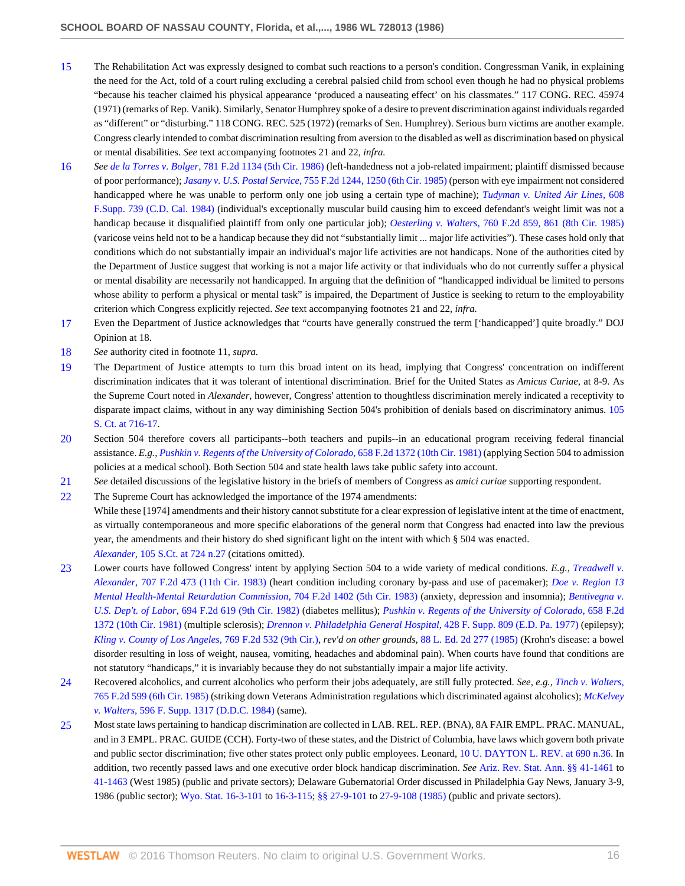- <span id="page-15-0"></span>[15](#page-7-6) The Rehabilitation Act was expressly designed to combat such reactions to a person's condition. Congressman Vanik, in explaining the need for the Act, told of a court ruling excluding a cerebral palsied child from school even though he had no physical problems "because his teacher claimed his physical appearance 'produced a nauseating effect' on his classmates." 117 CONG. REC. 45974 (1971) (remarks of Rep. Vanik). Similarly, Senator Humphrey spoke of a desire to prevent discrimination against individuals regarded as "different" or "disturbing." 118 CONG. REC. 525 (1972) (remarks of Sen. Humphrey). Serious burn victims are another example. Congress clearly intended to combat discrimination resulting from aversion to the disabled as well as discrimination based on physical or mental disabilities. *See* text accompanying footnotes 21 and 22, *infra.*
- <span id="page-15-1"></span>[16](#page-7-7) *See de la Torres v. Bolger,* [781 F.2d 1134 \(5th Cir. 1986\)](http://www.westlaw.com/Link/Document/FullText?findType=Y&serNum=1986106288&pubNum=350&originatingDoc=Icbf326bc6bf111d8a0069cc1490382dc&refType=RP&originationContext=document&vr=3.0&rs=cblt1.0&transitionType=DocumentItem&contextData=(sc.Search)) (left-handedness not a job-related impairment; plaintiff dismissed because of poor performance); *Jasany v. U.S. Postal Service,* [755 F.2d 1244, 1250 \(6th Cir. 1985\)](http://www.westlaw.com/Link/Document/FullText?findType=Y&serNum=1985110684&pubNum=350&originatingDoc=Icbf326bc6bf111d8a0069cc1490382dc&refType=RP&fi=co_pp_sp_350_1250&originationContext=document&vr=3.0&rs=cblt1.0&transitionType=DocumentItem&contextData=(sc.Search)#co_pp_sp_350_1250) (person with eye impairment not considered handicapped where he was unable to perform only one job using a certain type of machine); *[Tudyman v. United Air Lines,](http://www.westlaw.com/Link/Document/FullText?findType=Y&serNum=1985122328&pubNum=345&originatingDoc=Icbf326bc6bf111d8a0069cc1490382dc&refType=RP&originationContext=document&vr=3.0&rs=cblt1.0&transitionType=DocumentItem&contextData=(sc.Search))* 608 [F.Supp. 739 \(C.D. Cal. 1984\)](http://www.westlaw.com/Link/Document/FullText?findType=Y&serNum=1985122328&pubNum=345&originatingDoc=Icbf326bc6bf111d8a0069cc1490382dc&refType=RP&originationContext=document&vr=3.0&rs=cblt1.0&transitionType=DocumentItem&contextData=(sc.Search)) (individual's exceptionally muscular build causing him to exceed defendant's weight limit was not a handicap because it disqualified plaintiff from only one particular job); *Oesterling v. Walters,* [760 F.2d 859, 861 \(8th Cir. 1985\)](http://www.westlaw.com/Link/Document/FullText?findType=Y&serNum=1985119244&pubNum=350&originatingDoc=Icbf326bc6bf111d8a0069cc1490382dc&refType=RP&fi=co_pp_sp_350_861&originationContext=document&vr=3.0&rs=cblt1.0&transitionType=DocumentItem&contextData=(sc.Search)#co_pp_sp_350_861) (varicose veins held not to be a handicap because they did not "substantially limit ... major life activities"). These cases hold only that conditions which do not substantially impair an individual's major life activities are not handicaps. None of the authorities cited by the Department of Justice suggest that working is not a major life activity or that individuals who do not currently suffer a physical or mental disability are necessarily not handicapped. In arguing that the definition of "handicapped individual be limited to persons whose ability to perform a physical or mental task" is impaired, the Department of Justice is seeking to return to the employability criterion which Congress explicitly rejected. *See* text accompanying footnotes 21 and 22, *infra.*
- <span id="page-15-2"></span>[17](#page-7-8) Even the Department of Justice acknowledges that "courts have generally construed the term ['handicapped'] quite broadly." DOJ Opinion at 18.
- <span id="page-15-3"></span>[18](#page-8-0) *See* authority cited in footnote 11, *supra.*
- <span id="page-15-4"></span>[19](#page-8-1) The Department of Justice attempts to turn this broad intent on its head, implying that Congress' concentration on indifferent discrimination indicates that it was tolerant of intentional discrimination. Brief for the United States as *Amicus Curiae,* at 8-9. As the Supreme Court noted in *Alexander,* however, Congress' attention to thoughtless discrimination merely indicated a receptivity to disparate impact claims, without in any way diminishing Section 504's prohibition of denials based on discriminatory animus. [105](http://www.westlaw.com/Link/Document/FullText?findType=Y&serNum=1985101524&pubNum=708&originatingDoc=Icbf326bc6bf111d8a0069cc1490382dc&refType=RP&fi=co_pp_sp_708_716&originationContext=document&vr=3.0&rs=cblt1.0&transitionType=DocumentItem&contextData=(sc.Search)#co_pp_sp_708_716) [S. Ct. at 716-17.](http://www.westlaw.com/Link/Document/FullText?findType=Y&serNum=1985101524&pubNum=708&originatingDoc=Icbf326bc6bf111d8a0069cc1490382dc&refType=RP&fi=co_pp_sp_708_716&originationContext=document&vr=3.0&rs=cblt1.0&transitionType=DocumentItem&contextData=(sc.Search)#co_pp_sp_708_716)
- <span id="page-15-5"></span>[20](#page-8-2) Section 504 therefore covers all participants--both teachers and pupils--in an educational program receiving federal financial assistance. *E.g., [Pushkin v. Regents of the University of Colorado,](http://www.westlaw.com/Link/Document/FullText?findType=Y&serNum=1981137895&pubNum=350&originatingDoc=Icbf326bc6bf111d8a0069cc1490382dc&refType=RP&originationContext=document&vr=3.0&rs=cblt1.0&transitionType=DocumentItem&contextData=(sc.Search))* 658 F.2d 1372 (10th Cir. 1981) (applying Section 504 to admission policies at a medical school). Both Section 504 and state health laws take public safety into account.
- <span id="page-15-6"></span>[21](#page-8-3) *See* detailed discussions of the legislative history in the briefs of members of Congress as *amici curiae* supporting respondent.
- <span id="page-15-7"></span>[22](#page-8-4) The Supreme Court has acknowledged the importance of the 1974 amendments: While these [1974] amendments and their history cannot substitute for a clear expression of legislative intent at the time of enactment, as virtually contemporaneous and more specific elaborations of the general norm that Congress had enacted into law the previous year, the amendments and their history do shed significant light on the intent with which § 504 was enacted. *Alexander,* [105 S.Ct. at 724 n.27](http://www.westlaw.com/Link/Document/FullText?findType=Y&serNum=1985101524&pubNum=708&originatingDoc=Icbf326bc6bf111d8a0069cc1490382dc&refType=RP&fi=co_pp_sp_708_724&originationContext=document&vr=3.0&rs=cblt1.0&transitionType=DocumentItem&contextData=(sc.Search)#co_pp_sp_708_724) (citations omitted).
- <span id="page-15-8"></span>[23](#page-8-5) Lower courts have followed Congress' intent by applying Section 504 to a wide variety of medical conditions. *E.g., [Treadwell v.](http://www.westlaw.com/Link/Document/FullText?findType=Y&serNum=1983125481&pubNum=350&originatingDoc=Icbf326bc6bf111d8a0069cc1490382dc&refType=RP&originationContext=document&vr=3.0&rs=cblt1.0&transitionType=DocumentItem&contextData=(sc.Search)) Alexander,* [707 F.2d 473 \(11th Cir. 1983\)](http://www.westlaw.com/Link/Document/FullText?findType=Y&serNum=1983125481&pubNum=350&originatingDoc=Icbf326bc6bf111d8a0069cc1490382dc&refType=RP&originationContext=document&vr=3.0&rs=cblt1.0&transitionType=DocumentItem&contextData=(sc.Search)) (heart condition including coronary by-pass and use of pacemaker); *[Doe v. Region 13](http://www.westlaw.com/Link/Document/FullText?findType=Y&serNum=1983120794&pubNum=350&originatingDoc=Icbf326bc6bf111d8a0069cc1490382dc&refType=RP&originationContext=document&vr=3.0&rs=cblt1.0&transitionType=DocumentItem&contextData=(sc.Search)) [Mental Health-Mental Retardation Commission,](http://www.westlaw.com/Link/Document/FullText?findType=Y&serNum=1983120794&pubNum=350&originatingDoc=Icbf326bc6bf111d8a0069cc1490382dc&refType=RP&originationContext=document&vr=3.0&rs=cblt1.0&transitionType=DocumentItem&contextData=(sc.Search))* 704 F.2d 1402 (5th Cir. 1983) (anxiety, depression and insomnia); *[Bentivegna v.](http://www.westlaw.com/Link/Document/FullText?findType=Y&serNum=1982153722&pubNum=350&originatingDoc=Icbf326bc6bf111d8a0069cc1490382dc&refType=RP&originationContext=document&vr=3.0&rs=cblt1.0&transitionType=DocumentItem&contextData=(sc.Search)) U.S. Dep't. of Labor,* [694 F.2d 619 \(9th Cir. 1982\)](http://www.westlaw.com/Link/Document/FullText?findType=Y&serNum=1982153722&pubNum=350&originatingDoc=Icbf326bc6bf111d8a0069cc1490382dc&refType=RP&originationContext=document&vr=3.0&rs=cblt1.0&transitionType=DocumentItem&contextData=(sc.Search)) (diabetes mellitus); *[Pushkin v. Regents of the University of Colorado,](http://www.westlaw.com/Link/Document/FullText?findType=Y&serNum=1981137895&pubNum=350&originatingDoc=Icbf326bc6bf111d8a0069cc1490382dc&refType=RP&originationContext=document&vr=3.0&rs=cblt1.0&transitionType=DocumentItem&contextData=(sc.Search))* 658 F.2d [1372 \(10th Cir. 1981\)](http://www.westlaw.com/Link/Document/FullText?findType=Y&serNum=1981137895&pubNum=350&originatingDoc=Icbf326bc6bf111d8a0069cc1490382dc&refType=RP&originationContext=document&vr=3.0&rs=cblt1.0&transitionType=DocumentItem&contextData=(sc.Search)) (multiple sclerosis); *[Drennon v. Philadelphia General Hospital,](http://www.westlaw.com/Link/Document/FullText?findType=Y&serNum=1977106102&pubNum=345&originatingDoc=Icbf326bc6bf111d8a0069cc1490382dc&refType=RP&originationContext=document&vr=3.0&rs=cblt1.0&transitionType=DocumentItem&contextData=(sc.Search))* 428 F. Supp. 809 (E.D. Pa. 1977) (epilepsy); *[Kling v. County of Los Angeles,](http://www.westlaw.com/Link/Document/FullText?findType=Y&serNum=1985142341&pubNum=350&originatingDoc=Icbf326bc6bf111d8a0069cc1490382dc&refType=RP&originationContext=document&vr=3.0&rs=cblt1.0&transitionType=DocumentItem&contextData=(sc.Search))* 769 F.2d 532 (9th Cir.), *rev'd on other grounds,* [88 L. Ed. 2d 277 \(1985\)](http://www.westlaw.com/Link/Document/FullText?findType=Y&serNum=1985253083&pubNum=471&originatingDoc=Icbf326bc6bf111d8a0069cc1490382dc&refType=RP&originationContext=document&vr=3.0&rs=cblt1.0&transitionType=DocumentItem&contextData=(sc.Search)) (Krohn's disease: a bowel disorder resulting in loss of weight, nausea, vomiting, headaches and abdominal pain). When courts have found that conditions are not statutory "handicaps," it is invariably because they do not substantially impair a major life activity.
- <span id="page-15-9"></span>[24](#page-8-6) Recovered alcoholics, and current alcoholics who perform their jobs adequately, are still fully protected. *See, e.g., [Tinch v. Walters,](http://www.westlaw.com/Link/Document/FullText?findType=Y&serNum=1985131874&pubNum=350&originatingDoc=Icbf326bc6bf111d8a0069cc1490382dc&refType=RP&originationContext=document&vr=3.0&rs=cblt1.0&transitionType=DocumentItem&contextData=(sc.Search))* [765 F.2d 599 \(6th Cir. 1985\)](http://www.westlaw.com/Link/Document/FullText?findType=Y&serNum=1985131874&pubNum=350&originatingDoc=Icbf326bc6bf111d8a0069cc1490382dc&refType=RP&originationContext=document&vr=3.0&rs=cblt1.0&transitionType=DocumentItem&contextData=(sc.Search)) (striking down Veterans Administration regulations which discriminated against alcoholics); *[McKelvey](http://www.westlaw.com/Link/Document/FullText?findType=Y&serNum=1984155154&pubNum=345&originatingDoc=Icbf326bc6bf111d8a0069cc1490382dc&refType=RP&originationContext=document&vr=3.0&rs=cblt1.0&transitionType=DocumentItem&contextData=(sc.Search)) v. Walters,* [596 F. Supp. 1317 \(D.D.C. 1984\)](http://www.westlaw.com/Link/Document/FullText?findType=Y&serNum=1984155154&pubNum=345&originatingDoc=Icbf326bc6bf111d8a0069cc1490382dc&refType=RP&originationContext=document&vr=3.0&rs=cblt1.0&transitionType=DocumentItem&contextData=(sc.Search)) (same).
- <span id="page-15-10"></span>[25](#page-8-7) Most state laws pertaining to handicap discrimination are collected in LAB. REL. REP. (BNA), 8A FAIR EMPL. PRAC. MANUAL, and in 3 EMPL. PRAC. GUIDE (CCH). Forty-two of these states, and the District of Columbia, have laws which govern both private and public sector discrimination; five other states protect only public employees. Leonard, [10 U. DAYTON L. REV. at 690 n.36.](http://www.westlaw.com/Link/Document/FullText?findType=Y&serNum=0102683074&pubNum=1261&originatingDoc=Icbf326bc6bf111d8a0069cc1490382dc&refType=LR&fi=co_pp_sp_1261_690&originationContext=document&vr=3.0&rs=cblt1.0&transitionType=DocumentItem&contextData=(sc.Search)#co_pp_sp_1261_690) In addition, two recently passed laws and one executive order block handicap discrimination. *See* [Ariz. Rev. Stat. Ann. §§ 41-1461](http://www.westlaw.com/Link/Document/FullText?findType=L&pubNum=1000251&cite=AZSTS41-1461&originatingDoc=Icbf326bc6bf111d8a0069cc1490382dc&refType=LQ&originationContext=document&vr=3.0&rs=cblt1.0&transitionType=DocumentItem&contextData=(sc.Search)) to [41-1463](http://www.westlaw.com/Link/Document/FullText?findType=L&pubNum=1000251&cite=AZSTS41-1463&originatingDoc=Icbf326bc6bf111d8a0069cc1490382dc&refType=LQ&originationContext=document&vr=3.0&rs=cblt1.0&transitionType=DocumentItem&contextData=(sc.Search)) (West 1985) (public and private sectors); Delaware Gubernatorial Order discussed in Philadelphia Gay News, January 3-9, 1986 (public sector); [Wyo. Stat. 16-3-101](http://www.westlaw.com/Link/Document/FullText?findType=L&pubNum=1000377&cite=WYSTS16-3-101&originatingDoc=Icbf326bc6bf111d8a0069cc1490382dc&refType=LQ&originationContext=document&vr=3.0&rs=cblt1.0&transitionType=DocumentItem&contextData=(sc.Search)) to [16-3-115](http://www.westlaw.com/Link/Document/FullText?findType=L&pubNum=1000377&cite=WYSTS16-3-115&originatingDoc=Icbf326bc6bf111d8a0069cc1490382dc&refType=LQ&originationContext=document&vr=3.0&rs=cblt1.0&transitionType=DocumentItem&contextData=(sc.Search)); [§§ 27-9-101](http://www.westlaw.com/Link/Document/FullText?findType=L&pubNum=1000377&cite=WYSTS27-9-101&originatingDoc=Icbf326bc6bf111d8a0069cc1490382dc&refType=LQ&originationContext=document&vr=3.0&rs=cblt1.0&transitionType=DocumentItem&contextData=(sc.Search)) to [27-9-108 \(1985\)](http://www.westlaw.com/Link/Document/FullText?findType=L&pubNum=1000377&cite=WYSTS27-9-108&originatingDoc=Icbf326bc6bf111d8a0069cc1490382dc&refType=LQ&originationContext=document&vr=3.0&rs=cblt1.0&transitionType=DocumentItem&contextData=(sc.Search)) (public and private sectors).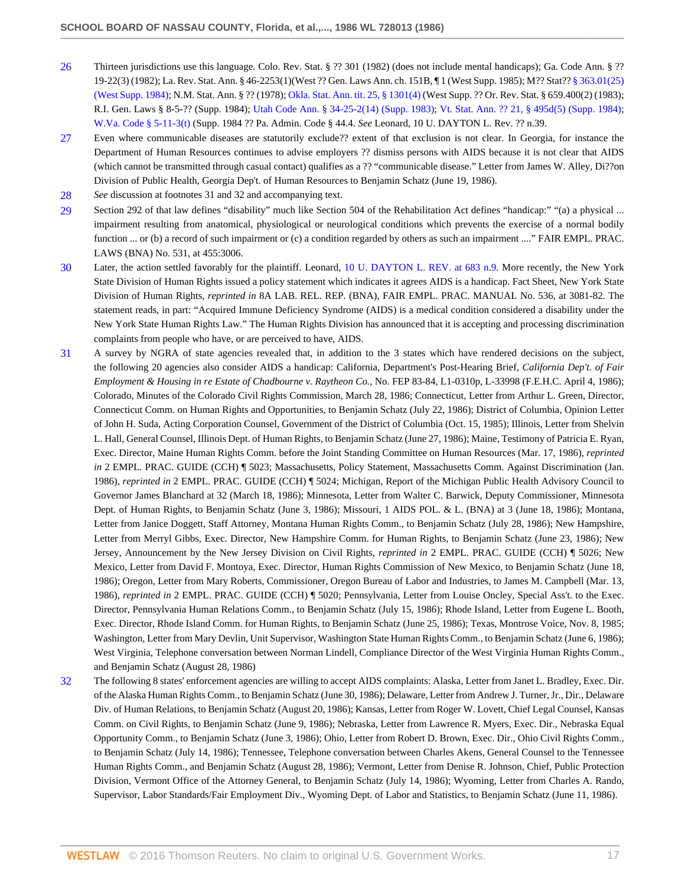- <span id="page-16-0"></span>[26](#page-9-0) Thirteen jurisdictions use this language. Colo. Rev. Stat. § ?? 301 (1982) (does not include mental handicaps); Ga. Code Ann. § ?? 19-22(3) (1982); La. Rev. Stat. Ann. § 46-2253(1)(West ?? Gen. Laws Ann. ch. 151B, ¶ 1 (West Supp. 1985); M?? Stat?? [§ 363.01\(25\)](http://www.westlaw.com/Link/Document/FullText?findType=L&pubNum=1000044&cite=MNSTS363.01&originatingDoc=Icbf326bc6bf111d8a0069cc1490382dc&refType=LQ&originationContext=document&vr=3.0&rs=cblt1.0&transitionType=DocumentItem&contextData=(sc.Search)) [\(West Supp. 1984\);](http://www.westlaw.com/Link/Document/FullText?findType=L&pubNum=1000044&cite=MNSTS363.01&originatingDoc=Icbf326bc6bf111d8a0069cc1490382dc&refType=LQ&originationContext=document&vr=3.0&rs=cblt1.0&transitionType=DocumentItem&contextData=(sc.Search)) N.M. Stat. Ann. § ?? (1978); [Okla. Stat. Ann. tit. 25, § 1301\(4\)](http://www.westlaw.com/Link/Document/FullText?findType=L&pubNum=1000165&cite=OKSTT25S1301&originatingDoc=Icbf326bc6bf111d8a0069cc1490382dc&refType=LQ&originationContext=document&vr=3.0&rs=cblt1.0&transitionType=DocumentItem&contextData=(sc.Search)) (West Supp. ?? Or. Rev. Stat. § 659.400(2) (1983); R.I. Gen. Laws § 8-5-?? (Supp. 1984); [Utah Code Ann. § 34-25-2\(14\) \(Supp. 1983\)](http://www.westlaw.com/Link/Document/FullText?findType=L&pubNum=1000511&cite=UTSTS34-25-2&originatingDoc=Icbf326bc6bf111d8a0069cc1490382dc&refType=LQ&originationContext=document&vr=3.0&rs=cblt1.0&transitionType=DocumentItem&contextData=(sc.Search)); [Vt. Stat. Ann. ?? 21, § 495d\(5\) \(Supp. 1984\)](http://www.westlaw.com/Link/Document/FullText?findType=L&pubNum=1000883&cite=VTST21S495D&originatingDoc=Icbf326bc6bf111d8a0069cc1490382dc&refType=LQ&originationContext=document&vr=3.0&rs=cblt1.0&transitionType=DocumentItem&contextData=(sc.Search)); [W.Va. Code § 5-11-3\(t\)](http://www.westlaw.com/Link/Document/FullText?findType=L&pubNum=1000041&cite=WVSTS5-11-3&originatingDoc=Icbf326bc6bf111d8a0069cc1490382dc&refType=LQ&originationContext=document&vr=3.0&rs=cblt1.0&transitionType=DocumentItem&contextData=(sc.Search)) (Supp. 1984 ?? Pa. Admin. Code § 44.4. *See* Leonard, 10 U. DAYTON L. Rev. ?? n.39.
- <span id="page-16-1"></span>[27](#page-9-1) Even where communicable diseases are statutorily exclude?? extent of that exclusion is not clear. In Georgia, for instance the Department of Human Resources continues to advise employers ?? dismiss persons with AIDS because it is not clear that AIDS (which cannot be transmitted through casual contact) qualifies as a ?? "communicable disease." Letter from James W. Alley, Di??on Division of Public Health, Georgia Dep't. of Human Resources to Benjamin Schatz (June 19, 1986).
- <span id="page-16-2"></span>[28](#page-9-2) *See* discussion at footnotes 31 and 32 and accompanying text.
- <span id="page-16-3"></span>[29](#page-9-3) Section 292 of that law defines "disability" much like Section 504 of the Rehabilitation Act defines "handicap:" "(a) a physical ... impairment resulting from anatomical, physiological or neurological conditions which prevents the exercise of a normal bodily function ... or (b) a record of such impairment or (c) a condition regarded by others as such an impairment ...." FAIR EMPL. PRAC. LAWS (BNA) No. 531, at 455:3006.
- <span id="page-16-4"></span>[30](#page-9-4) Later, the action settled favorably for the plaintiff. Leonard, [10 U. DAYTON L. REV. at 683 n.9.](http://www.westlaw.com/Link/Document/FullText?findType=Y&serNum=0102683074&pubNum=1261&originatingDoc=Icbf326bc6bf111d8a0069cc1490382dc&refType=LR&fi=co_pp_sp_1261_683&originationContext=document&vr=3.0&rs=cblt1.0&transitionType=DocumentItem&contextData=(sc.Search)#co_pp_sp_1261_683) More recently, the New York State Division of Human Rights issued a policy statement which indicates it agrees AIDS is a handicap. Fact Sheet, New York State Division of Human Rights, *reprinted in* 8A LAB. REL. REP. (BNA), FAIR EMPL. PRAC. MANUAL No. 536, at 3081-82. The statement reads, in part: "Acquired Immune Deficiency Syndrome (AIDS) is a medical condition considered a disability under the New York State Human Rights Law." The Human Rights Division has announced that it is accepting and processing discrimination complaints from people who have, or are perceived to have, AIDS.
- <span id="page-16-5"></span>[31](#page-9-5) A survey by NGRA of state agencies revealed that, in addition to the 3 states which have rendered decisions on the subject, the following 20 agencies also consider AIDS a handicap: California, Department's Post-Hearing Brief, *California Dep't. of Fair Employment & Housing in re Estate of Chadbourne v. Raytheon Co.,* No. FEP 83-84, L1-0310p, L-33998 (F.E.H.C. April 4, 1986); Colorado, Minutes of the Colorado Civil Rights Commission, March 28, 1986; Connecticut, Letter from Arthur L. Green, Director, Connecticut Comm. on Human Rights and Opportunities, to Benjamin Schatz (July 22, 1986); District of Columbia, Opinion Letter of John H. Suda, Acting Corporation Counsel, Government of the District of Columbia (Oct. 15, 1985); Illinois, Letter from Shelvin L. Hall, General Counsel, Illinois Dept. of Human Rights, to Benjamin Schatz (June 27, 1986); Maine, Testimony of Patricia E. Ryan, Exec. Director, Maine Human Rights Comm. before the Joint Standing Committee on Human Resources (Mar. 17, 1986), *reprinted in* 2 EMPL. PRAC. GUIDE (CCH) ¶ 5023; Massachusetts, Policy Statement, Massachusetts Comm. Against Discrimination (Jan. 1986), *reprinted in* 2 EMPL. PRAC. GUIDE (CCH) ¶ 5024; Michigan, Report of the Michigan Public Health Advisory Council to Governor James Blanchard at 32 (March 18, 1986); Minnesota, Letter from Walter C. Barwick, Deputy Commissioner, Minnesota Dept. of Human Rights, to Benjamin Schatz (June 3, 1986); Missouri, 1 AIDS POL. & L. (BNA) at 3 (June 18, 1986); Montana, Letter from Janice Doggett, Staff Attorney, Montana Human Rights Comm., to Benjamin Schatz (July 28, 1986); New Hampshire, Letter from Merryl Gibbs, Exec. Director, New Hampshire Comm. for Human Rights, to Benjamin Schatz (June 23, 1986); New Jersey, Announcement by the New Jersey Division on Civil Rights, *reprinted in* 2 EMPL. PRAC. GUIDE (CCH) ¶ 5026; New Mexico, Letter from David F. Montoya, Exec. Director, Human Rights Commission of New Mexico, to Benjamin Schatz (June 18, 1986); Oregon, Letter from Mary Roberts, Commissioner, Oregon Bureau of Labor and Industries, to James M. Campbell (Mar. 13, 1986), *reprinted in* 2 EMPL. PRAC. GUIDE (CCH) ¶ 5020; Pennsylvania, Letter from Louise Oncley, Special Ass't. to the Exec. Director, Pennsylvania Human Relations Comm., to Benjamin Schatz (July 15, 1986); Rhode Island, Letter from Eugene L. Booth, Exec. Director, Rhode Island Comm. for Human Rights, to Benjamin Schatz (June 25, 1986); Texas, Montrose Voice, Nov. 8, 1985; Washington, Letter from Mary Devlin, Unit Supervisor, Washington State Human Rights Comm., to Benjamin Schatz (June 6, 1986); West Virginia, Telephone conversation between Norman Lindell, Compliance Director of the West Virginia Human Rights Comm., and Benjamin Schatz (August 28, 1986)
- <span id="page-16-6"></span>[32](#page-9-6) The following 8 states' enforcement agencies are willing to accept AIDS complaints: Alaska, Letter from Janet L. Bradley, Exec. Dir. of the Alaska Human Rights Comm., to Benjamin Schatz (June 30, 1986); Delaware, Letter from Andrew J. Turner, Jr., Dir., Delaware Div. of Human Relations, to Benjamin Schatz (August 20, 1986); Kansas, Letter from Roger W. Lovett, Chief Legal Counsel, Kansas Comm. on Civil Rights, to Benjamin Schatz (June 9, 1986); Nebraska, Letter from Lawrence R. Myers, Exec. Dir., Nebraska Equal Opportunity Comm., to Benjamin Schatz (June 3, 1986); Ohio, Letter from Robert D. Brown, Exec. Dir., Ohio Civil Rights Comm., to Benjamin Schatz (July 14, 1986); Tennessee, Telephone conversation between Charles Akens, General Counsel to the Tennessee Human Rights Comm., and Benjamin Schatz (August 28, 1986); Vermont, Letter from Denise R. Johnson, Chief, Public Protection Division, Vermont Office of the Attorney General, to Benjamin Schatz (July 14, 1986); Wyoming, Letter from Charles A. Rando, Supervisor, Labor Standards/Fair Employment Div., Wyoming Dept. of Labor and Statistics, to Benjamin Schatz (June 11, 1986).